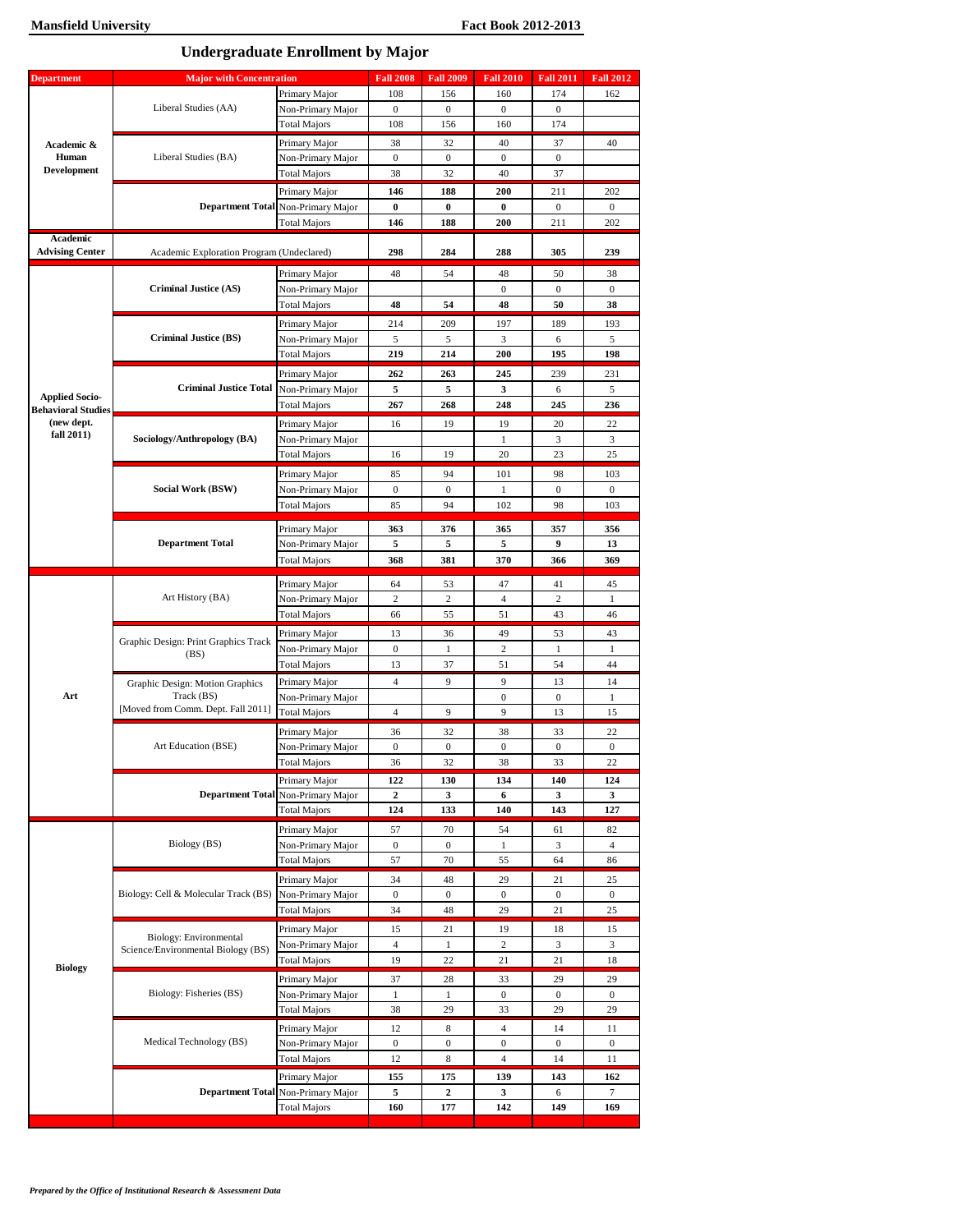**Undergraduate Enrollment by Major** 

| <b>Department</b>         | <b>Major with Concentration</b>               |                                          | <b>Fall 2008</b> | <b>Fall 2009</b>                                                                                                                                                                                                                                                                                                                                                                                                                                                                                                                                                                                                                                                                                                                                                                                                                                                                                                                                                                                                                                                                                                                                                                                   | <b>Fall 2010</b> | <b>Fall 2011</b>                                                                                                                                                                                                                                                                                                                                            | <b>Fall 2012</b>       |
|---------------------------|-----------------------------------------------|------------------------------------------|------------------|----------------------------------------------------------------------------------------------------------------------------------------------------------------------------------------------------------------------------------------------------------------------------------------------------------------------------------------------------------------------------------------------------------------------------------------------------------------------------------------------------------------------------------------------------------------------------------------------------------------------------------------------------------------------------------------------------------------------------------------------------------------------------------------------------------------------------------------------------------------------------------------------------------------------------------------------------------------------------------------------------------------------------------------------------------------------------------------------------------------------------------------------------------------------------------------------------|------------------|-------------------------------------------------------------------------------------------------------------------------------------------------------------------------------------------------------------------------------------------------------------------------------------------------------------------------------------------------------------|------------------------|
|                           |                                               | Primary Major                            | 108              | 156                                                                                                                                                                                                                                                                                                                                                                                                                                                                                                                                                                                                                                                                                                                                                                                                                                                                                                                                                                                                                                                                                                                                                                                                | 160              | 174                                                                                                                                                                                                                                                                                                                                                         | 162                    |
|                           | Liberal Studies (AA)                          | Non-Primary Major                        | $\boldsymbol{0}$ | $\boldsymbol{0}$                                                                                                                                                                                                                                                                                                                                                                                                                                                                                                                                                                                                                                                                                                                                                                                                                                                                                                                                                                                                                                                                                                                                                                                   | $\boldsymbol{0}$ | $\boldsymbol{0}$                                                                                                                                                                                                                                                                                                                                            |                        |
|                           |                                               | <b>Total Majors</b>                      | 108              | 156                                                                                                                                                                                                                                                                                                                                                                                                                                                                                                                                                                                                                                                                                                                                                                                                                                                                                                                                                                                                                                                                                                                                                                                                | 160              | 174<br>37<br>$\overline{0}$<br>37<br>211<br>$\boldsymbol{0}$<br>211<br>305<br>50<br>$\overline{0}$<br>50<br>189<br>6<br>195<br>239<br>6<br>245<br>20<br>3<br>23<br>98<br>$\overline{0}$<br>98<br>357<br>9<br>366<br>41<br>2<br>43<br>53<br>$\mathbf{1}$<br>54<br>13<br>$\boldsymbol{0}$<br>13<br>33<br>$\boldsymbol{0}$<br>33<br>140<br>3<br>143<br>61<br>3 |                        |
| Academic &                |                                               | Primary Major                            | 38               | 32<br>40<br>$\overline{0}$<br>$\mathbf{0}$<br>$\overline{0}$<br>38<br>32<br>40<br>146<br>188<br>200<br>$\bf{0}$<br>$\bf{0}$<br>$\bf{0}$<br>188<br>146<br>200<br>298<br>284<br>288<br>48<br>54<br>48<br>$\mathbf{0}$<br>48<br>54<br>48<br>214<br>209<br>197<br>5<br>5<br>3<br>219<br>214<br>200<br>262<br>263<br>245<br>5<br>5<br>3<br>267<br>268<br>248<br>16<br>19<br>19<br>1<br>16<br>19<br>20<br>94<br>85<br>101<br>$\boldsymbol{0}$<br>$\boldsymbol{0}$<br>$\mathbf{1}$<br>85<br>94<br>102<br>363<br>376<br>365<br>5<br>5<br>5<br>381<br>370<br>368<br>53<br>64<br>47<br>2<br>2<br>$\overline{4}$<br>55<br>51<br>66<br>49<br>13<br>36<br>$\boldsymbol{0}$<br>$\mathbf{1}$<br>$\overline{c}$<br>13<br>37<br>51<br>$\overline{4}$<br>9<br>9<br>$\boldsymbol{0}$<br>$\overline{4}$<br>9<br>9<br>32<br>38<br>36<br>$\boldsymbol{0}$<br>$\boldsymbol{0}$<br>$\boldsymbol{0}$<br>32<br>38<br>36<br>122<br>130<br>134<br>$\boldsymbol{2}$<br>3<br>6<br>124<br>133<br>140<br>70<br>57<br>54<br>$\boldsymbol{0}$<br>$\overline{0}$<br>$\mathbf{1}$<br>64<br>57<br>70<br>55<br>34<br>48<br>29<br>21<br>$\boldsymbol{0}$<br>$\boldsymbol{0}$<br>$\boldsymbol{0}$<br>0<br>34<br>48<br>29<br>21<br>15<br>21 | 40               |                                                                                                                                                                                                                                                                                                                                                             |                        |
| Human                     | Liberal Studies (BA)                          | Non-Primary Major                        |                  |                                                                                                                                                                                                                                                                                                                                                                                                                                                                                                                                                                                                                                                                                                                                                                                                                                                                                                                                                                                                                                                                                                                                                                                                    |                  |                                                                                                                                                                                                                                                                                                                                                             |                        |
| <b>Development</b>        |                                               | <b>Total Majors</b>                      |                  |                                                                                                                                                                                                                                                                                                                                                                                                                                                                                                                                                                                                                                                                                                                                                                                                                                                                                                                                                                                                                                                                                                                                                                                                    |                  |                                                                                                                                                                                                                                                                                                                                                             |                        |
|                           |                                               | Primary Major                            |                  |                                                                                                                                                                                                                                                                                                                                                                                                                                                                                                                                                                                                                                                                                                                                                                                                                                                                                                                                                                                                                                                                                                                                                                                                    |                  |                                                                                                                                                                                                                                                                                                                                                             | 202                    |
|                           |                                               | Department Total Non-Primary Major       |                  |                                                                                                                                                                                                                                                                                                                                                                                                                                                                                                                                                                                                                                                                                                                                                                                                                                                                                                                                                                                                                                                                                                                                                                                                    |                  |                                                                                                                                                                                                                                                                                                                                                             | $\mathbf{0}$           |
|                           |                                               | <b>Total Majors</b>                      |                  |                                                                                                                                                                                                                                                                                                                                                                                                                                                                                                                                                                                                                                                                                                                                                                                                                                                                                                                                                                                                                                                                                                                                                                                                    |                  |                                                                                                                                                                                                                                                                                                                                                             | 202                    |
| Academic                  |                                               |                                          |                  |                                                                                                                                                                                                                                                                                                                                                                                                                                                                                                                                                                                                                                                                                                                                                                                                                                                                                                                                                                                                                                                                                                                                                                                                    |                  |                                                                                                                                                                                                                                                                                                                                                             |                        |
| <b>Advising Center</b>    | Academic Exploration Program (Undeclared)     |                                          |                  |                                                                                                                                                                                                                                                                                                                                                                                                                                                                                                                                                                                                                                                                                                                                                                                                                                                                                                                                                                                                                                                                                                                                                                                                    |                  |                                                                                                                                                                                                                                                                                                                                                             | 239                    |
|                           |                                               | Primary Major                            |                  |                                                                                                                                                                                                                                                                                                                                                                                                                                                                                                                                                                                                                                                                                                                                                                                                                                                                                                                                                                                                                                                                                                                                                                                                    | 38               |                                                                                                                                                                                                                                                                                                                                                             |                        |
|                           | <b>Criminal Justice (AS)</b>                  | Non-Primary Major                        |                  |                                                                                                                                                                                                                                                                                                                                                                                                                                                                                                                                                                                                                                                                                                                                                                                                                                                                                                                                                                                                                                                                                                                                                                                                    |                  |                                                                                                                                                                                                                                                                                                                                                             | $\mathbf{0}$           |
|                           |                                               | Total Majors                             |                  |                                                                                                                                                                                                                                                                                                                                                                                                                                                                                                                                                                                                                                                                                                                                                                                                                                                                                                                                                                                                                                                                                                                                                                                                    |                  |                                                                                                                                                                                                                                                                                                                                                             | 38                     |
|                           |                                               | Primary Major                            |                  |                                                                                                                                                                                                                                                                                                                                                                                                                                                                                                                                                                                                                                                                                                                                                                                                                                                                                                                                                                                                                                                                                                                                                                                                    |                  | 18<br>3<br>21<br>29<br>$\boldsymbol{0}$                                                                                                                                                                                                                                                                                                                     | 193                    |
|                           | <b>Criminal Justice (BS)</b>                  | Non-Primary Major                        |                  |                                                                                                                                                                                                                                                                                                                                                                                                                                                                                                                                                                                                                                                                                                                                                                                                                                                                                                                                                                                                                                                                                                                                                                                                    |                  |                                                                                                                                                                                                                                                                                                                                                             | 5                      |
|                           |                                               | <b>Total Majors</b>                      |                  |                                                                                                                                                                                                                                                                                                                                                                                                                                                                                                                                                                                                                                                                                                                                                                                                                                                                                                                                                                                                                                                                                                                                                                                                    |                  |                                                                                                                                                                                                                                                                                                                                                             | 198                    |
|                           |                                               | Primary Major                            |                  |                                                                                                                                                                                                                                                                                                                                                                                                                                                                                                                                                                                                                                                                                                                                                                                                                                                                                                                                                                                                                                                                                                                                                                                                    |                  |                                                                                                                                                                                                                                                                                                                                                             | 231                    |
| <b>Applied Socio-</b>     | <b>Criminal Justice Total</b>                 | Non-Primary Major                        |                  |                                                                                                                                                                                                                                                                                                                                                                                                                                                                                                                                                                                                                                                                                                                                                                                                                                                                                                                                                                                                                                                                                                                                                                                                    |                  |                                                                                                                                                                                                                                                                                                                                                             | 5                      |
| <b>Behavioral Studies</b> |                                               | <b>Total Majors</b>                      |                  |                                                                                                                                                                                                                                                                                                                                                                                                                                                                                                                                                                                                                                                                                                                                                                                                                                                                                                                                                                                                                                                                                                                                                                                                    |                  |                                                                                                                                                                                                                                                                                                                                                             | 236                    |
| (new dept.                |                                               | Primary Major                            |                  |                                                                                                                                                                                                                                                                                                                                                                                                                                                                                                                                                                                                                                                                                                                                                                                                                                                                                                                                                                                                                                                                                                                                                                                                    |                  |                                                                                                                                                                                                                                                                                                                                                             | 22                     |
| fall 2011)                | Sociology/Anthropology (BA)                   | Non-Primary Major                        |                  |                                                                                                                                                                                                                                                                                                                                                                                                                                                                                                                                                                                                                                                                                                                                                                                                                                                                                                                                                                                                                                                                                                                                                                                                    |                  |                                                                                                                                                                                                                                                                                                                                                             | 3                      |
|                           |                                               | <b>Total Majors</b>                      |                  |                                                                                                                                                                                                                                                                                                                                                                                                                                                                                                                                                                                                                                                                                                                                                                                                                                                                                                                                                                                                                                                                                                                                                                                                    |                  |                                                                                                                                                                                                                                                                                                                                                             | 25                     |
|                           |                                               | Primary Major                            |                  |                                                                                                                                                                                                                                                                                                                                                                                                                                                                                                                                                                                                                                                                                                                                                                                                                                                                                                                                                                                                                                                                                                                                                                                                    |                  |                                                                                                                                                                                                                                                                                                                                                             | 103                    |
|                           | Social Work (BSW)                             | Non-Primary Major                        |                  |                                                                                                                                                                                                                                                                                                                                                                                                                                                                                                                                                                                                                                                                                                                                                                                                                                                                                                                                                                                                                                                                                                                                                                                                    |                  | $\mathbf{0}$                                                                                                                                                                                                                                                                                                                                                |                        |
|                           |                                               | Total Majors                             |                  |                                                                                                                                                                                                                                                                                                                                                                                                                                                                                                                                                                                                                                                                                                                                                                                                                                                                                                                                                                                                                                                                                                                                                                                                    |                  |                                                                                                                                                                                                                                                                                                                                                             | 103                    |
|                           |                                               | Primary Major                            |                  |                                                                                                                                                                                                                                                                                                                                                                                                                                                                                                                                                                                                                                                                                                                                                                                                                                                                                                                                                                                                                                                                                                                                                                                                    |                  |                                                                                                                                                                                                                                                                                                                                                             | 356                    |
|                           | <b>Department Total</b>                       | Non-Primary Major                        |                  |                                                                                                                                                                                                                                                                                                                                                                                                                                                                                                                                                                                                                                                                                                                                                                                                                                                                                                                                                                                                                                                                                                                                                                                                    |                  |                                                                                                                                                                                                                                                                                                                                                             | 13                     |
|                           |                                               | <b>Total Majors</b>                      |                  |                                                                                                                                                                                                                                                                                                                                                                                                                                                                                                                                                                                                                                                                                                                                                                                                                                                                                                                                                                                                                                                                                                                                                                                                    |                  | 19<br>2<br>21<br>33<br>$\boldsymbol{0}$<br>33<br>29<br>$\overline{4}$<br>14<br>$\boldsymbol{0}$<br>$\boldsymbol{0}$<br>$\overline{4}$<br>14<br>139<br>143<br>3<br>6                                                                                                                                                                                         | 369                    |
|                           |                                               |                                          |                  |                                                                                                                                                                                                                                                                                                                                                                                                                                                                                                                                                                                                                                                                                                                                                                                                                                                                                                                                                                                                                                                                                                                                                                                                    |                  |                                                                                                                                                                                                                                                                                                                                                             |                        |
|                           |                                               | Primary Major                            |                  |                                                                                                                                                                                                                                                                                                                                                                                                                                                                                                                                                                                                                                                                                                                                                                                                                                                                                                                                                                                                                                                                                                                                                                                                    |                  | 45                                                                                                                                                                                                                                                                                                                                                          |                        |
|                           | Art History (BA)                              | Non-Primary Major<br><b>Total Majors</b> |                  |                                                                                                                                                                                                                                                                                                                                                                                                                                                                                                                                                                                                                                                                                                                                                                                                                                                                                                                                                                                                                                                                                                                                                                                                    |                  |                                                                                                                                                                                                                                                                                                                                                             | 1<br>46                |
|                           |                                               |                                          |                  |                                                                                                                                                                                                                                                                                                                                                                                                                                                                                                                                                                                                                                                                                                                                                                                                                                                                                                                                                                                                                                                                                                                                                                                                    |                  |                                                                                                                                                                                                                                                                                                                                                             |                        |
|                           | Graphic Design: Print Graphics Track          | Primary Major                            |                  |                                                                                                                                                                                                                                                                                                                                                                                                                                                                                                                                                                                                                                                                                                                                                                                                                                                                                                                                                                                                                                                                                                                                                                                                    |                  |                                                                                                                                                                                                                                                                                                                                                             | 43                     |
|                           | (BS)                                          | Non-Primary Major                        |                  |                                                                                                                                                                                                                                                                                                                                                                                                                                                                                                                                                                                                                                                                                                                                                                                                                                                                                                                                                                                                                                                                                                                                                                                                    |                  |                                                                                                                                                                                                                                                                                                                                                             | $\mathbf{1}$           |
|                           |                                               | <b>Total Majors</b>                      |                  |                                                                                                                                                                                                                                                                                                                                                                                                                                                                                                                                                                                                                                                                                                                                                                                                                                                                                                                                                                                                                                                                                                                                                                                                    |                  |                                                                                                                                                                                                                                                                                                                                                             | 44                     |
| Art                       | Graphic Design: Motion Graphics<br>Track (BS) | Primary Major                            |                  |                                                                                                                                                                                                                                                                                                                                                                                                                                                                                                                                                                                                                                                                                                                                                                                                                                                                                                                                                                                                                                                                                                                                                                                                    |                  |                                                                                                                                                                                                                                                                                                                                                             | 14<br>$\mathbf{1}$     |
|                           | [Moved from Comm. Dept. Fall 2011]            | Non-Primary Major<br><b>Total Majors</b> |                  |                                                                                                                                                                                                                                                                                                                                                                                                                                                                                                                                                                                                                                                                                                                                                                                                                                                                                                                                                                                                                                                                                                                                                                                                    |                  |                                                                                                                                                                                                                                                                                                                                                             | 15                     |
|                           |                                               |                                          |                  |                                                                                                                                                                                                                                                                                                                                                                                                                                                                                                                                                                                                                                                                                                                                                                                                                                                                                                                                                                                                                                                                                                                                                                                                    |                  |                                                                                                                                                                                                                                                                                                                                                             |                        |
|                           | Art Education (BSE)                           | Primary Major                            |                  |                                                                                                                                                                                                                                                                                                                                                                                                                                                                                                                                                                                                                                                                                                                                                                                                                                                                                                                                                                                                                                                                                                                                                                                                    |                  |                                                                                                                                                                                                                                                                                                                                                             | 22<br>$\boldsymbol{0}$ |
|                           |                                               | Non-Primary Major<br><b>Total Majors</b> |                  |                                                                                                                                                                                                                                                                                                                                                                                                                                                                                                                                                                                                                                                                                                                                                                                                                                                                                                                                                                                                                                                                                                                                                                                                    |                  |                                                                                                                                                                                                                                                                                                                                                             | 22                     |
|                           |                                               |                                          |                  |                                                                                                                                                                                                                                                                                                                                                                                                                                                                                                                                                                                                                                                                                                                                                                                                                                                                                                                                                                                                                                                                                                                                                                                                    |                  |                                                                                                                                                                                                                                                                                                                                                             |                        |
|                           | <b>Department Total</b>                       | Primary Major<br>Non-Primary Major       |                  |                                                                                                                                                                                                                                                                                                                                                                                                                                                                                                                                                                                                                                                                                                                                                                                                                                                                                                                                                                                                                                                                                                                                                                                                    |                  |                                                                                                                                                                                                                                                                                                                                                             | 124<br>3               |
|                           |                                               | <b>Total Majors</b>                      |                  |                                                                                                                                                                                                                                                                                                                                                                                                                                                                                                                                                                                                                                                                                                                                                                                                                                                                                                                                                                                                                                                                                                                                                                                                    |                  |                                                                                                                                                                                                                                                                                                                                                             | 127                    |
|                           |                                               | Primary Major                            |                  |                                                                                                                                                                                                                                                                                                                                                                                                                                                                                                                                                                                                                                                                                                                                                                                                                                                                                                                                                                                                                                                                                                                                                                                                    |                  |                                                                                                                                                                                                                                                                                                                                                             | 82                     |
|                           | Biology (BS)                                  | Non-Primary Major                        |                  |                                                                                                                                                                                                                                                                                                                                                                                                                                                                                                                                                                                                                                                                                                                                                                                                                                                                                                                                                                                                                                                                                                                                                                                                    |                  | $\overline{4}$                                                                                                                                                                                                                                                                                                                                              |                        |
|                           |                                               | <b>Total Majors</b>                      |                  |                                                                                                                                                                                                                                                                                                                                                                                                                                                                                                                                                                                                                                                                                                                                                                                                                                                                                                                                                                                                                                                                                                                                                                                                    |                  | 86                                                                                                                                                                                                                                                                                                                                                          |                        |
|                           |                                               | Primary Major                            |                  |                                                                                                                                                                                                                                                                                                                                                                                                                                                                                                                                                                                                                                                                                                                                                                                                                                                                                                                                                                                                                                                                                                                                                                                                    |                  |                                                                                                                                                                                                                                                                                                                                                             | 25                     |
|                           | Biology: Cell & Molecular Track (BS)          | Non-Primary Major                        |                  |                                                                                                                                                                                                                                                                                                                                                                                                                                                                                                                                                                                                                                                                                                                                                                                                                                                                                                                                                                                                                                                                                                                                                                                                    |                  | $\mathbf{0}$                                                                                                                                                                                                                                                                                                                                                |                        |
|                           |                                               | <b>Total Majors</b>                      |                  |                                                                                                                                                                                                                                                                                                                                                                                                                                                                                                                                                                                                                                                                                                                                                                                                                                                                                                                                                                                                                                                                                                                                                                                                    |                  |                                                                                                                                                                                                                                                                                                                                                             | 25                     |
|                           |                                               | Primary Major                            |                  |                                                                                                                                                                                                                                                                                                                                                                                                                                                                                                                                                                                                                                                                                                                                                                                                                                                                                                                                                                                                                                                                                                                                                                                                    |                  |                                                                                                                                                                                                                                                                                                                                                             | 15                     |
|                           | Biology: Environmental                        | Non-Primary Major                        | $\overline{4}$   | $\mathbf{1}$                                                                                                                                                                                                                                                                                                                                                                                                                                                                                                                                                                                                                                                                                                                                                                                                                                                                                                                                                                                                                                                                                                                                                                                       |                  |                                                                                                                                                                                                                                                                                                                                                             | 3                      |
|                           | Science/Environmental Biology (BS)            | <b>Total Majors</b>                      | 19               | 22                                                                                                                                                                                                                                                                                                                                                                                                                                                                                                                                                                                                                                                                                                                                                                                                                                                                                                                                                                                                                                                                                                                                                                                                 |                  |                                                                                                                                                                                                                                                                                                                                                             | 18                     |
| <b>Biology</b>            |                                               | Primary Major                            | 37               | 28                                                                                                                                                                                                                                                                                                                                                                                                                                                                                                                                                                                                                                                                                                                                                                                                                                                                                                                                                                                                                                                                                                                                                                                                 |                  |                                                                                                                                                                                                                                                                                                                                                             | 29                     |
|                           | Biology: Fisheries (BS)                       | Non-Primary Major                        | $\mathbf{1}$     | $\mathbf{1}$                                                                                                                                                                                                                                                                                                                                                                                                                                                                                                                                                                                                                                                                                                                                                                                                                                                                                                                                                                                                                                                                                                                                                                                       |                  |                                                                                                                                                                                                                                                                                                                                                             | $\mathbf{0}$           |
|                           |                                               | <b>Total Majors</b>                      | 38               | 29                                                                                                                                                                                                                                                                                                                                                                                                                                                                                                                                                                                                                                                                                                                                                                                                                                                                                                                                                                                                                                                                                                                                                                                                 |                  |                                                                                                                                                                                                                                                                                                                                                             | 29                     |
|                           |                                               |                                          | 12               | 8                                                                                                                                                                                                                                                                                                                                                                                                                                                                                                                                                                                                                                                                                                                                                                                                                                                                                                                                                                                                                                                                                                                                                                                                  |                  |                                                                                                                                                                                                                                                                                                                                                             |                        |
|                           | Medical Technology (BS)                       | Primary Major<br>Non-Primary Major       | $\boldsymbol{0}$ | $\boldsymbol{0}$                                                                                                                                                                                                                                                                                                                                                                                                                                                                                                                                                                                                                                                                                                                                                                                                                                                                                                                                                                                                                                                                                                                                                                                   |                  |                                                                                                                                                                                                                                                                                                                                                             | 11<br>$\mathbf{0}$     |
|                           |                                               | <b>Total Majors</b>                      | 12               | $\,$ 8 $\,$                                                                                                                                                                                                                                                                                                                                                                                                                                                                                                                                                                                                                                                                                                                                                                                                                                                                                                                                                                                                                                                                                                                                                                                        |                  |                                                                                                                                                                                                                                                                                                                                                             | 11                     |
|                           |                                               | Primary Major                            | 155              | 175                                                                                                                                                                                                                                                                                                                                                                                                                                                                                                                                                                                                                                                                                                                                                                                                                                                                                                                                                                                                                                                                                                                                                                                                |                  |                                                                                                                                                                                                                                                                                                                                                             | 162                    |
|                           |                                               | Department Total Non-Primary Major       | 5                | $\overline{2}$                                                                                                                                                                                                                                                                                                                                                                                                                                                                                                                                                                                                                                                                                                                                                                                                                                                                                                                                                                                                                                                                                                                                                                                     |                  |                                                                                                                                                                                                                                                                                                                                                             | 7                      |
|                           |                                               | <b>Total Majors</b>                      | 160              | 177                                                                                                                                                                                                                                                                                                                                                                                                                                                                                                                                                                                                                                                                                                                                                                                                                                                                                                                                                                                                                                                                                                                                                                                                | 142              | 149                                                                                                                                                                                                                                                                                                                                                         | 169                    |
|                           |                                               |                                          |                  |                                                                                                                                                                                                                                                                                                                                                                                                                                                                                                                                                                                                                                                                                                                                                                                                                                                                                                                                                                                                                                                                                                                                                                                                    |                  |                                                                                                                                                                                                                                                                                                                                                             |                        |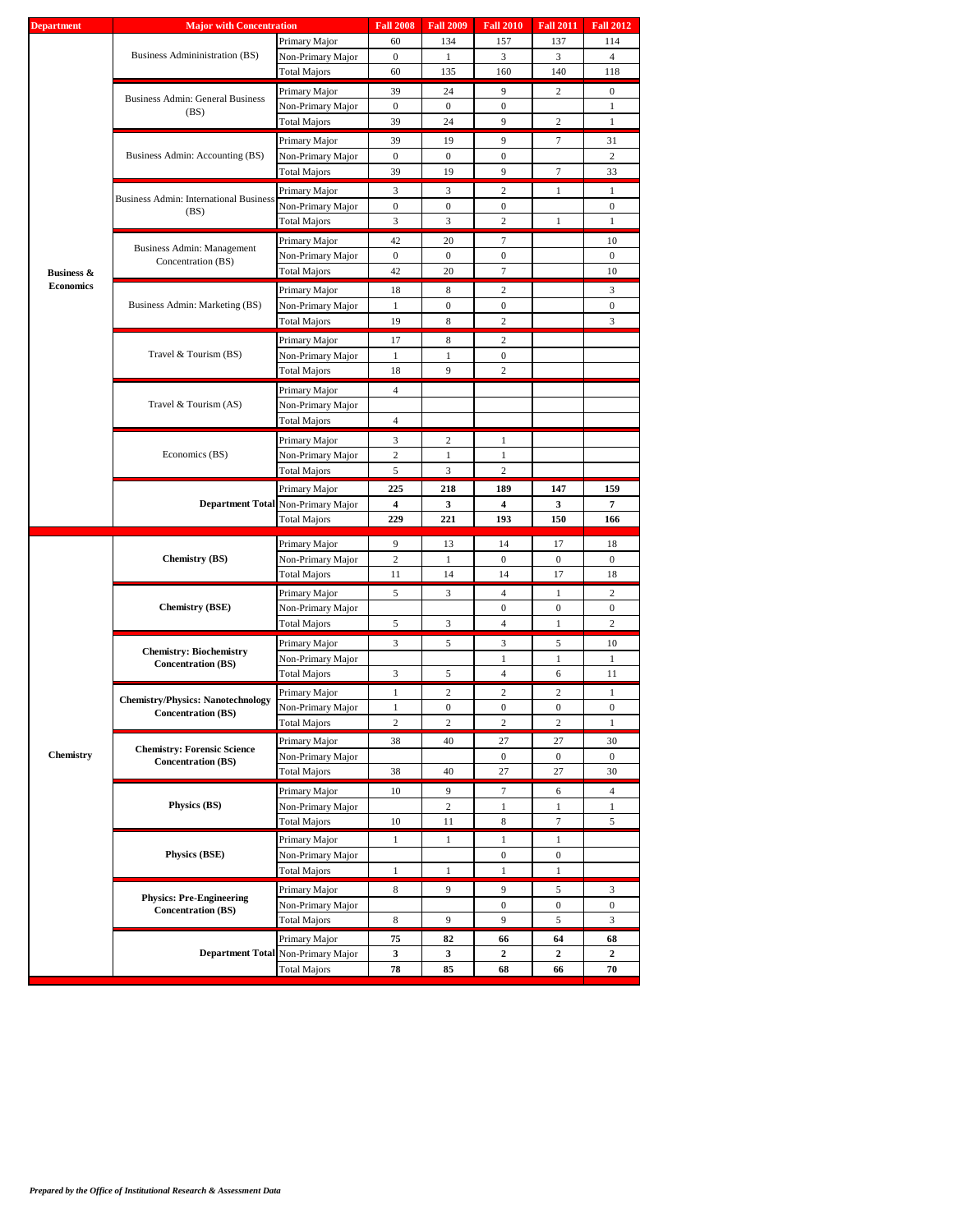|                                           |                                               | Primary Major                                                                                                                                                                                                                                                                                                                                                                                                                                                                                                                                                                                                                                                                                                                                                                                                                                                                                                                                                                                                                                                                                                                                                                                                                                                                                                                                                                                                                                                                                                                                                                                                                                                                                                                                                                                                                                                                                                                                                                                                                                                                                                                                                                                                                                                                                                                                                                                                                                                                                                                                                                                                                                                                                                                                                                                                                                                                                                                                                                                    | 60           | 134                                                 | 157<br>137 | 114           |                  |
|-------------------------------------------|-----------------------------------------------|--------------------------------------------------------------------------------------------------------------------------------------------------------------------------------------------------------------------------------------------------------------------------------------------------------------------------------------------------------------------------------------------------------------------------------------------------------------------------------------------------------------------------------------------------------------------------------------------------------------------------------------------------------------------------------------------------------------------------------------------------------------------------------------------------------------------------------------------------------------------------------------------------------------------------------------------------------------------------------------------------------------------------------------------------------------------------------------------------------------------------------------------------------------------------------------------------------------------------------------------------------------------------------------------------------------------------------------------------------------------------------------------------------------------------------------------------------------------------------------------------------------------------------------------------------------------------------------------------------------------------------------------------------------------------------------------------------------------------------------------------------------------------------------------------------------------------------------------------------------------------------------------------------------------------------------------------------------------------------------------------------------------------------------------------------------------------------------------------------------------------------------------------------------------------------------------------------------------------------------------------------------------------------------------------------------------------------------------------------------------------------------------------------------------------------------------------------------------------------------------------------------------------------------------------------------------------------------------------------------------------------------------------------------------------------------------------------------------------------------------------------------------------------------------------------------------------------------------------------------------------------------------------------------------------------------------------------------------------------------------------|--------------|-----------------------------------------------------|------------|---------------|------------------|
|                                           | Business Admininistration (BS)                | Non-Primary Major                                                                                                                                                                                                                                                                                                                                                                                                                                                                                                                                                                                                                                                                                                                                                                                                                                                                                                                                                                                                                                                                                                                                                                                                                                                                                                                                                                                                                                                                                                                                                                                                                                                                                                                                                                                                                                                                                                                                                                                                                                                                                                                                                                                                                                                                                                                                                                                                                                                                                                                                                                                                                                                                                                                                                                                                                                                                                                                                                                                | $\mathbf{0}$ | 1                                                   | 3          | 3             | $\overline{4}$   |
|                                           |                                               | <b>Fall 2008</b><br><b>Fall 2009</b><br><b>Fall 2010</b><br><b>Fall 2011</b><br><b>Fall 2012</b><br>135<br>140<br>60<br>160<br>118<br>Total Majors<br>9<br>$\mathbf{0}$<br>Primary Major<br>39<br>24<br>2<br>Non-Primary Major<br>$\mathbf{0}$<br>$\boldsymbol{0}$<br>0<br>$\mathbf{1}$<br>39<br>24<br>9<br>$\mathbf{1}$<br>Total Majors<br>2<br>Primary Major<br>39<br>9<br>19<br>7<br>31<br>Non-Primary Major<br>$\mathbf{0}$<br>$\boldsymbol{0}$<br>$\boldsymbol{0}$<br>2<br><b>Total Majors</b><br>39<br>19<br>9<br>$7\phantom{.0}$<br>33<br>$\overline{c}$<br>Primary Major<br>3<br>3<br>1<br>$\mathbf{1}$<br>Non-Primary Major<br>$\mathbf{0}$<br>$\overline{0}$<br>$\mathbf{0}$<br>$\mathbf{0}$<br>3<br>3<br>$\overline{c}$<br>Total Majors<br>1<br>1<br>Primary Major<br>42<br>20<br>7<br>10<br>Non-Primary Major<br>$\mathbf{0}$<br>$\boldsymbol{0}$<br>0<br>0<br>42<br>20<br>7<br>10<br>Total Majors<br>Primary Major<br>18<br>2<br>3<br>8<br>Non-Primary Major<br>$\boldsymbol{0}$<br>$\boldsymbol{0}$<br>$\boldsymbol{0}$<br>$\mathbf{1}$<br>3<br><b>Total Majors</b><br>19<br>8<br>2<br>Primary Major<br>17<br>8<br>$\overline{c}$<br>Non-Primary Major<br>1<br>1<br>0<br>9<br>$\overline{c}$<br>Total Majors<br>18<br>Primary Major<br>$\overline{4}$<br>Non-Primary Major<br>Total Majors<br>$\overline{4}$<br>3<br>Primary Major<br>2<br>1<br>$\mathfrak{2}$<br>Non-Primary Major<br>$\mathbf{1}$<br>1<br>3<br>$\overline{c}$<br>Total Majors<br>5<br>Primary Major<br>225<br>218<br>189<br>147<br>159<br>7<br>4<br>3<br>4<br>3<br>229<br>221<br>193<br>150<br>166<br>Total Majors<br>Primary Major<br>9<br>14<br>18<br>13<br>17<br>$\mathbf{2}$<br>Non-Primary Major<br>$\boldsymbol{0}$<br>$\mathbf{0}$<br>$\mathbf{0}$<br>1<br>11<br>14<br>14<br>17<br>18<br>Total Majors<br>Primary Major<br>5<br>3<br>4<br>1<br>2<br>$\mathbf{0}$<br>Non-Primary Major<br>$\boldsymbol{0}$<br>$\boldsymbol{0}$<br>$\overline{c}$<br>5<br>3<br>$\overline{4}$<br>$\mathbf{1}$<br>Total Majors<br>3<br>3<br>5<br>Primary Major<br>5<br>10<br>Non-Primary Major<br>$\mathbf{1}$<br>1<br>1<br>3<br>11<br>Total Majors<br>5<br>4<br>6<br>$\overline{c}$<br>$\overline{c}$<br>2<br>Primary Major<br>1<br>1<br>Non-Primary Major<br>$\mathbf{1}$<br>$\overline{0}$<br>$\mathbf{0}$<br>$\mathbf{0}$<br>$\mathbf{0}$<br>$\,2$<br>$\sqrt{2}$<br>$\mathbf{2}$<br>$\mathbf{2}$<br><b>Total Majors</b><br>$\mathbf{1}$<br>Primary Major<br>38<br>40<br>27<br>27<br>30<br>Non-Primary Major<br>$\overline{0}$<br>$\mathbf{0}$<br>$\mathbf{0}$<br>27<br>27<br>30<br><b>Total Majors</b><br>38<br>40<br>$\overline{4}$<br>Primary Major<br>9<br>$\tau$<br>6<br>10<br>Non-Primary Major<br>$\boldsymbol{2}$<br>1<br>$\mathbf{1}$<br>$\mathbf{1}$<br>$\boldsymbol{7}$<br>10<br>11<br>8<br>5<br><b>Total Majors</b><br>Primary Major<br>1<br>1<br>1<br>1<br>Non-Primary Major<br>$\boldsymbol{0}$<br>$\boldsymbol{0}$<br>Total Majors<br>1<br>$\mathbf{1}$<br>1<br>1<br>Primary Major<br>8<br>9<br>9<br>3<br>5 |              |                                                     |            |               |                  |
|                                           |                                               |                                                                                                                                                                                                                                                                                                                                                                                                                                                                                                                                                                                                                                                                                                                                                                                                                                                                                                                                                                                                                                                                                                                                                                                                                                                                                                                                                                                                                                                                                                                                                                                                                                                                                                                                                                                                                                                                                                                                                                                                                                                                                                                                                                                                                                                                                                                                                                                                                                                                                                                                                                                                                                                                                                                                                                                                                                                                                                                                                                                                  |              |                                                     |            |               |                  |
|                                           | <b>Business Admin: General Business</b>       |                                                                                                                                                                                                                                                                                                                                                                                                                                                                                                                                                                                                                                                                                                                                                                                                                                                                                                                                                                                                                                                                                                                                                                                                                                                                                                                                                                                                                                                                                                                                                                                                                                                                                                                                                                                                                                                                                                                                                                                                                                                                                                                                                                                                                                                                                                                                                                                                                                                                                                                                                                                                                                                                                                                                                                                                                                                                                                                                                                                                  |              |                                                     |            |               |                  |
|                                           | (BS)                                          |                                                                                                                                                                                                                                                                                                                                                                                                                                                                                                                                                                                                                                                                                                                                                                                                                                                                                                                                                                                                                                                                                                                                                                                                                                                                                                                                                                                                                                                                                                                                                                                                                                                                                                                                                                                                                                                                                                                                                                                                                                                                                                                                                                                                                                                                                                                                                                                                                                                                                                                                                                                                                                                                                                                                                                                                                                                                                                                                                                                                  |              |                                                     |            |               |                  |
|                                           |                                               |                                                                                                                                                                                                                                                                                                                                                                                                                                                                                                                                                                                                                                                                                                                                                                                                                                                                                                                                                                                                                                                                                                                                                                                                                                                                                                                                                                                                                                                                                                                                                                                                                                                                                                                                                                                                                                                                                                                                                                                                                                                                                                                                                                                                                                                                                                                                                                                                                                                                                                                                                                                                                                                                                                                                                                                                                                                                                                                                                                                                  |              |                                                     |            |               |                  |
|                                           |                                               |                                                                                                                                                                                                                                                                                                                                                                                                                                                                                                                                                                                                                                                                                                                                                                                                                                                                                                                                                                                                                                                                                                                                                                                                                                                                                                                                                                                                                                                                                                                                                                                                                                                                                                                                                                                                                                                                                                                                                                                                                                                                                                                                                                                                                                                                                                                                                                                                                                                                                                                                                                                                                                                                                                                                                                                                                                                                                                                                                                                                  |              |                                                     |            |               |                  |
|                                           | Business Admin: Accounting (BS)               |                                                                                                                                                                                                                                                                                                                                                                                                                                                                                                                                                                                                                                                                                                                                                                                                                                                                                                                                                                                                                                                                                                                                                                                                                                                                                                                                                                                                                                                                                                                                                                                                                                                                                                                                                                                                                                                                                                                                                                                                                                                                                                                                                                                                                                                                                                                                                                                                                                                                                                                                                                                                                                                                                                                                                                                                                                                                                                                                                                                                  |              |                                                     |            |               |                  |
|                                           |                                               |                                                                                                                                                                                                                                                                                                                                                                                                                                                                                                                                                                                                                                                                                                                                                                                                                                                                                                                                                                                                                                                                                                                                                                                                                                                                                                                                                                                                                                                                                                                                                                                                                                                                                                                                                                                                                                                                                                                                                                                                                                                                                                                                                                                                                                                                                                                                                                                                                                                                                                                                                                                                                                                                                                                                                                                                                                                                                                                                                                                                  |              |                                                     |            |               |                  |
|                                           |                                               |                                                                                                                                                                                                                                                                                                                                                                                                                                                                                                                                                                                                                                                                                                                                                                                                                                                                                                                                                                                                                                                                                                                                                                                                                                                                                                                                                                                                                                                                                                                                                                                                                                                                                                                                                                                                                                                                                                                                                                                                                                                                                                                                                                                                                                                                                                                                                                                                                                                                                                                                                                                                                                                                                                                                                                                                                                                                                                                                                                                                  |              |                                                     |            |               |                  |
|                                           | <b>Business Admin: International Business</b> |                                                                                                                                                                                                                                                                                                                                                                                                                                                                                                                                                                                                                                                                                                                                                                                                                                                                                                                                                                                                                                                                                                                                                                                                                                                                                                                                                                                                                                                                                                                                                                                                                                                                                                                                                                                                                                                                                                                                                                                                                                                                                                                                                                                                                                                                                                                                                                                                                                                                                                                                                                                                                                                                                                                                                                                                                                                                                                                                                                                                  |              |                                                     |            |               |                  |
|                                           |                                               |                                                                                                                                                                                                                                                                                                                                                                                                                                                                                                                                                                                                                                                                                                                                                                                                                                                                                                                                                                                                                                                                                                                                                                                                                                                                                                                                                                                                                                                                                                                                                                                                                                                                                                                                                                                                                                                                                                                                                                                                                                                                                                                                                                                                                                                                                                                                                                                                                                                                                                                                                                                                                                                                                                                                                                                                                                                                                                                                                                                                  |              |                                                     |            |               |                  |
|                                           |                                               | <b>Major with Concentration</b><br>(BS)<br>Concentration (BS)<br>Travel & Tourism (BS)<br>Travel & Tourism (AS)<br>Economics (BS)<br>Department Total Non-Primary Major<br><b>Chemistry (BS)</b><br><b>Chemistry (BSE)</b><br><b>Chemistry: Biochemistry</b><br><b>Concentration (BS)</b><br><b>Concentration (BS)</b><br><b>Concentration (BS)</b><br>Physics (BS)<br>Physics (BSE)                                                                                                                                                                                                                                                                                                                                                                                                                                                                                                                                                                                                                                                                                                                                                                                                                                                                                                                                                                                                                                                                                                                                                                                                                                                                                                                                                                                                                                                                                                                                                                                                                                                                                                                                                                                                                                                                                                                                                                                                                                                                                                                                                                                                                                                                                                                                                                                                                                                                                                                                                                                                             |              |                                                     |            |               |                  |
|                                           | Business Admin: Management                    |                                                                                                                                                                                                                                                                                                                                                                                                                                                                                                                                                                                                                                                                                                                                                                                                                                                                                                                                                                                                                                                                                                                                                                                                                                                                                                                                                                                                                                                                                                                                                                                                                                                                                                                                                                                                                                                                                                                                                                                                                                                                                                                                                                                                                                                                                                                                                                                                                                                                                                                                                                                                                                                                                                                                                                                                                                                                                                                                                                                                  |              |                                                     |            |               |                  |
|                                           |                                               |                                                                                                                                                                                                                                                                                                                                                                                                                                                                                                                                                                                                                                                                                                                                                                                                                                                                                                                                                                                                                                                                                                                                                                                                                                                                                                                                                                                                                                                                                                                                                                                                                                                                                                                                                                                                                                                                                                                                                                                                                                                                                                                                                                                                                                                                                                                                                                                                                                                                                                                                                                                                                                                                                                                                                                                                                                                                                                                                                                                                  |              |                                                     |            |               |                  |
|                                           |                                               |                                                                                                                                                                                                                                                                                                                                                                                                                                                                                                                                                                                                                                                                                                                                                                                                                                                                                                                                                                                                                                                                                                                                                                                                                                                                                                                                                                                                                                                                                                                                                                                                                                                                                                                                                                                                                                                                                                                                                                                                                                                                                                                                                                                                                                                                                                                                                                                                                                                                                                                                                                                                                                                                                                                                                                                                                                                                                                                                                                                                  |              |                                                     |            |               |                  |
| <b>Business &amp;</b><br><b>Economics</b> |                                               |                                                                                                                                                                                                                                                                                                                                                                                                                                                                                                                                                                                                                                                                                                                                                                                                                                                                                                                                                                                                                                                                                                                                                                                                                                                                                                                                                                                                                                                                                                                                                                                                                                                                                                                                                                                                                                                                                                                                                                                                                                                                                                                                                                                                                                                                                                                                                                                                                                                                                                                                                                                                                                                                                                                                                                                                                                                                                                                                                                                                  |              |                                                     |            |               |                  |
|                                           | Business Admin: Marketing (BS)                |                                                                                                                                                                                                                                                                                                                                                                                                                                                                                                                                                                                                                                                                                                                                                                                                                                                                                                                                                                                                                                                                                                                                                                                                                                                                                                                                                                                                                                                                                                                                                                                                                                                                                                                                                                                                                                                                                                                                                                                                                                                                                                                                                                                                                                                                                                                                                                                                                                                                                                                                                                                                                                                                                                                                                                                                                                                                                                                                                                                                  |              |                                                     |            |               |                  |
|                                           |                                               |                                                                                                                                                                                                                                                                                                                                                                                                                                                                                                                                                                                                                                                                                                                                                                                                                                                                                                                                                                                                                                                                                                                                                                                                                                                                                                                                                                                                                                                                                                                                                                                                                                                                                                                                                                                                                                                                                                                                                                                                                                                                                                                                                                                                                                                                                                                                                                                                                                                                                                                                                                                                                                                                                                                                                                                                                                                                                                                                                                                                  |              |                                                     |            |               |                  |
|                                           |                                               |                                                                                                                                                                                                                                                                                                                                                                                                                                                                                                                                                                                                                                                                                                                                                                                                                                                                                                                                                                                                                                                                                                                                                                                                                                                                                                                                                                                                                                                                                                                                                                                                                                                                                                                                                                                                                                                                                                                                                                                                                                                                                                                                                                                                                                                                                                                                                                                                                                                                                                                                                                                                                                                                                                                                                                                                                                                                                                                                                                                                  |              |                                                     |            |               |                  |
|                                           |                                               |                                                                                                                                                                                                                                                                                                                                                                                                                                                                                                                                                                                                                                                                                                                                                                                                                                                                                                                                                                                                                                                                                                                                                                                                                                                                                                                                                                                                                                                                                                                                                                                                                                                                                                                                                                                                                                                                                                                                                                                                                                                                                                                                                                                                                                                                                                                                                                                                                                                                                                                                                                                                                                                                                                                                                                                                                                                                                                                                                                                                  |              |                                                     |            |               |                  |
|                                           |                                               |                                                                                                                                                                                                                                                                                                                                                                                                                                                                                                                                                                                                                                                                                                                                                                                                                                                                                                                                                                                                                                                                                                                                                                                                                                                                                                                                                                                                                                                                                                                                                                                                                                                                                                                                                                                                                                                                                                                                                                                                                                                                                                                                                                                                                                                                                                                                                                                                                                                                                                                                                                                                                                                                                                                                                                                                                                                                                                                                                                                                  |              |                                                     |            |               |                  |
|                                           |                                               |                                                                                                                                                                                                                                                                                                                                                                                                                                                                                                                                                                                                                                                                                                                                                                                                                                                                                                                                                                                                                                                                                                                                                                                                                                                                                                                                                                                                                                                                                                                                                                                                                                                                                                                                                                                                                                                                                                                                                                                                                                                                                                                                                                                                                                                                                                                                                                                                                                                                                                                                                                                                                                                                                                                                                                                                                                                                                                                                                                                                  |              |                                                     |            |               |                  |
|                                           |                                               |                                                                                                                                                                                                                                                                                                                                                                                                                                                                                                                                                                                                                                                                                                                                                                                                                                                                                                                                                                                                                                                                                                                                                                                                                                                                                                                                                                                                                                                                                                                                                                                                                                                                                                                                                                                                                                                                                                                                                                                                                                                                                                                                                                                                                                                                                                                                                                                                                                                                                                                                                                                                                                                                                                                                                                                                                                                                                                                                                                                                  |              |                                                     |            |               |                  |
|                                           |                                               |                                                                                                                                                                                                                                                                                                                                                                                                                                                                                                                                                                                                                                                                                                                                                                                                                                                                                                                                                                                                                                                                                                                                                                                                                                                                                                                                                                                                                                                                                                                                                                                                                                                                                                                                                                                                                                                                                                                                                                                                                                                                                                                                                                                                                                                                                                                                                                                                                                                                                                                                                                                                                                                                                                                                                                                                                                                                                                                                                                                                  |              |                                                     |            |               |                  |
|                                           |                                               |                                                                                                                                                                                                                                                                                                                                                                                                                                                                                                                                                                                                                                                                                                                                                                                                                                                                                                                                                                                                                                                                                                                                                                                                                                                                                                                                                                                                                                                                                                                                                                                                                                                                                                                                                                                                                                                                                                                                                                                                                                                                                                                                                                                                                                                                                                                                                                                                                                                                                                                                                                                                                                                                                                                                                                                                                                                                                                                                                                                                  |              |                                                     |            |               |                  |
|                                           |                                               |                                                                                                                                                                                                                                                                                                                                                                                                                                                                                                                                                                                                                                                                                                                                                                                                                                                                                                                                                                                                                                                                                                                                                                                                                                                                                                                                                                                                                                                                                                                                                                                                                                                                                                                                                                                                                                                                                                                                                                                                                                                                                                                                                                                                                                                                                                                                                                                                                                                                                                                                                                                                                                                                                                                                                                                                                                                                                                                                                                                                  |              |                                                     |            |               |                  |
|                                           |                                               |                                                                                                                                                                                                                                                                                                                                                                                                                                                                                                                                                                                                                                                                                                                                                                                                                                                                                                                                                                                                                                                                                                                                                                                                                                                                                                                                                                                                                                                                                                                                                                                                                                                                                                                                                                                                                                                                                                                                                                                                                                                                                                                                                                                                                                                                                                                                                                                                                                                                                                                                                                                                                                                                                                                                                                                                                                                                                                                                                                                                  |              |                                                     |            |               |                  |
|                                           |                                               |                                                                                                                                                                                                                                                                                                                                                                                                                                                                                                                                                                                                                                                                                                                                                                                                                                                                                                                                                                                                                                                                                                                                                                                                                                                                                                                                                                                                                                                                                                                                                                                                                                                                                                                                                                                                                                                                                                                                                                                                                                                                                                                                                                                                                                                                                                                                                                                                                                                                                                                                                                                                                                                                                                                                                                                                                                                                                                                                                                                                  |              |                                                     |            |               |                  |
|                                           |                                               |                                                                                                                                                                                                                                                                                                                                                                                                                                                                                                                                                                                                                                                                                                                                                                                                                                                                                                                                                                                                                                                                                                                                                                                                                                                                                                                                                                                                                                                                                                                                                                                                                                                                                                                                                                                                                                                                                                                                                                                                                                                                                                                                                                                                                                                                                                                                                                                                                                                                                                                                                                                                                                                                                                                                                                                                                                                                                                                                                                                                  |              |                                                     |            |               |                  |
|                                           |                                               |                                                                                                                                                                                                                                                                                                                                                                                                                                                                                                                                                                                                                                                                                                                                                                                                                                                                                                                                                                                                                                                                                                                                                                                                                                                                                                                                                                                                                                                                                                                                                                                                                                                                                                                                                                                                                                                                                                                                                                                                                                                                                                                                                                                                                                                                                                                                                                                                                                                                                                                                                                                                                                                                                                                                                                                                                                                                                                                                                                                                  |              |                                                     |            |               |                  |
|                                           |                                               |                                                                                                                                                                                                                                                                                                                                                                                                                                                                                                                                                                                                                                                                                                                                                                                                                                                                                                                                                                                                                                                                                                                                                                                                                                                                                                                                                                                                                                                                                                                                                                                                                                                                                                                                                                                                                                                                                                                                                                                                                                                                                                                                                                                                                                                                                                                                                                                                                                                                                                                                                                                                                                                                                                                                                                                                                                                                                                                                                                                                  |              |                                                     |            |               |                  |
|                                           |                                               |                                                                                                                                                                                                                                                                                                                                                                                                                                                                                                                                                                                                                                                                                                                                                                                                                                                                                                                                                                                                                                                                                                                                                                                                                                                                                                                                                                                                                                                                                                                                                                                                                                                                                                                                                                                                                                                                                                                                                                                                                                                                                                                                                                                                                                                                                                                                                                                                                                                                                                                                                                                                                                                                                                                                                                                                                                                                                                                                                                                                  |              |                                                     |            |               |                  |
|                                           |                                               |                                                                                                                                                                                                                                                                                                                                                                                                                                                                                                                                                                                                                                                                                                                                                                                                                                                                                                                                                                                                                                                                                                                                                                                                                                                                                                                                                                                                                                                                                                                                                                                                                                                                                                                                                                                                                                                                                                                                                                                                                                                                                                                                                                                                                                                                                                                                                                                                                                                                                                                                                                                                                                                                                                                                                                                                                                                                                                                                                                                                  |              |                                                     |            |               |                  |
| <b>Department</b><br><b>Chemistry</b>     |                                               |                                                                                                                                                                                                                                                                                                                                                                                                                                                                                                                                                                                                                                                                                                                                                                                                                                                                                                                                                                                                                                                                                                                                                                                                                                                                                                                                                                                                                                                                                                                                                                                                                                                                                                                                                                                                                                                                                                                                                                                                                                                                                                                                                                                                                                                                                                                                                                                                                                                                                                                                                                                                                                                                                                                                                                                                                                                                                                                                                                                                  |              |                                                     |            |               |                  |
|                                           |                                               |                                                                                                                                                                                                                                                                                                                                                                                                                                                                                                                                                                                                                                                                                                                                                                                                                                                                                                                                                                                                                                                                                                                                                                                                                                                                                                                                                                                                                                                                                                                                                                                                                                                                                                                                                                                                                                                                                                                                                                                                                                                                                                                                                                                                                                                                                                                                                                                                                                                                                                                                                                                                                                                                                                                                                                                                                                                                                                                                                                                                  |              |                                                     |            |               |                  |
|                                           |                                               |                                                                                                                                                                                                                                                                                                                                                                                                                                                                                                                                                                                                                                                                                                                                                                                                                                                                                                                                                                                                                                                                                                                                                                                                                                                                                                                                                                                                                                                                                                                                                                                                                                                                                                                                                                                                                                                                                                                                                                                                                                                                                                                                                                                                                                                                                                                                                                                                                                                                                                                                                                                                                                                                                                                                                                                                                                                                                                                                                                                                  |              |                                                     |            |               |                  |
|                                           |                                               |                                                                                                                                                                                                                                                                                                                                                                                                                                                                                                                                                                                                                                                                                                                                                                                                                                                                                                                                                                                                                                                                                                                                                                                                                                                                                                                                                                                                                                                                                                                                                                                                                                                                                                                                                                                                                                                                                                                                                                                                                                                                                                                                                                                                                                                                                                                                                                                                                                                                                                                                                                                                                                                                                                                                                                                                                                                                                                                                                                                                  |              | $\boldsymbol{0}$<br>$\boldsymbol{0}$<br>9<br>9<br>5 |            |               |                  |
|                                           |                                               |                                                                                                                                                                                                                                                                                                                                                                                                                                                                                                                                                                                                                                                                                                                                                                                                                                                                                                                                                                                                                                                                                                                                                                                                                                                                                                                                                                                                                                                                                                                                                                                                                                                                                                                                                                                                                                                                                                                                                                                                                                                                                                                                                                                                                                                                                                                                                                                                                                                                                                                                                                                                                                                                                                                                                                                                                                                                                                                                                                                                  |              |                                                     |            |               |                  |
|                                           |                                               |                                                                                                                                                                                                                                                                                                                                                                                                                                                                                                                                                                                                                                                                                                                                                                                                                                                                                                                                                                                                                                                                                                                                                                                                                                                                                                                                                                                                                                                                                                                                                                                                                                                                                                                                                                                                                                                                                                                                                                                                                                                                                                                                                                                                                                                                                                                                                                                                                                                                                                                                                                                                                                                                                                                                                                                                                                                                                                                                                                                                  |              |                                                     |            |               |                  |
|                                           |                                               |                                                                                                                                                                                                                                                                                                                                                                                                                                                                                                                                                                                                                                                                                                                                                                                                                                                                                                                                                                                                                                                                                                                                                                                                                                                                                                                                                                                                                                                                                                                                                                                                                                                                                                                                                                                                                                                                                                                                                                                                                                                                                                                                                                                                                                                                                                                                                                                                                                                                                                                                                                                                                                                                                                                                                                                                                                                                                                                                                                                                  |              |                                                     |            |               |                  |
|                                           |                                               |                                                                                                                                                                                                                                                                                                                                                                                                                                                                                                                                                                                                                                                                                                                                                                                                                                                                                                                                                                                                                                                                                                                                                                                                                                                                                                                                                                                                                                                                                                                                                                                                                                                                                                                                                                                                                                                                                                                                                                                                                                                                                                                                                                                                                                                                                                                                                                                                                                                                                                                                                                                                                                                                                                                                                                                                                                                                                                                                                                                                  |              |                                                     |            |               |                  |
|                                           |                                               |                                                                                                                                                                                                                                                                                                                                                                                                                                                                                                                                                                                                                                                                                                                                                                                                                                                                                                                                                                                                                                                                                                                                                                                                                                                                                                                                                                                                                                                                                                                                                                                                                                                                                                                                                                                                                                                                                                                                                                                                                                                                                                                                                                                                                                                                                                                                                                                                                                                                                                                                                                                                                                                                                                                                                                                                                                                                                                                                                                                                  |              |                                                     |            |               |                  |
|                                           |                                               |                                                                                                                                                                                                                                                                                                                                                                                                                                                                                                                                                                                                                                                                                                                                                                                                                                                                                                                                                                                                                                                                                                                                                                                                                                                                                                                                                                                                                                                                                                                                                                                                                                                                                                                                                                                                                                                                                                                                                                                                                                                                                                                                                                                                                                                                                                                                                                                                                                                                                                                                                                                                                                                                                                                                                                                                                                                                                                                                                                                                  |              |                                                     |            |               |                  |
|                                           |                                               |                                                                                                                                                                                                                                                                                                                                                                                                                                                                                                                                                                                                                                                                                                                                                                                                                                                                                                                                                                                                                                                                                                                                                                                                                                                                                                                                                                                                                                                                                                                                                                                                                                                                                                                                                                                                                                                                                                                                                                                                                                                                                                                                                                                                                                                                                                                                                                                                                                                                                                                                                                                                                                                                                                                                                                                                                                                                                                                                                                                                  |              |                                                     |            |               |                  |
|                                           | <b>Chemistry/Physics: Nanotechnology</b>      |                                                                                                                                                                                                                                                                                                                                                                                                                                                                                                                                                                                                                                                                                                                                                                                                                                                                                                                                                                                                                                                                                                                                                                                                                                                                                                                                                                                                                                                                                                                                                                                                                                                                                                                                                                                                                                                                                                                                                                                                                                                                                                                                                                                                                                                                                                                                                                                                                                                                                                                                                                                                                                                                                                                                                                                                                                                                                                                                                                                                  |              |                                                     |            |               |                  |
|                                           |                                               |                                                                                                                                                                                                                                                                                                                                                                                                                                                                                                                                                                                                                                                                                                                                                                                                                                                                                                                                                                                                                                                                                                                                                                                                                                                                                                                                                                                                                                                                                                                                                                                                                                                                                                                                                                                                                                                                                                                                                                                                                                                                                                                                                                                                                                                                                                                                                                                                                                                                                                                                                                                                                                                                                                                                                                                                                                                                                                                                                                                                  |              |                                                     |            |               |                  |
|                                           |                                               |                                                                                                                                                                                                                                                                                                                                                                                                                                                                                                                                                                                                                                                                                                                                                                                                                                                                                                                                                                                                                                                                                                                                                                                                                                                                                                                                                                                                                                                                                                                                                                                                                                                                                                                                                                                                                                                                                                                                                                                                                                                                                                                                                                                                                                                                                                                                                                                                                                                                                                                                                                                                                                                                                                                                                                                                                                                                                                                                                                                                  |              |                                                     |            |               |                  |
|                                           | <b>Chemistry: Forensic Science</b>            |                                                                                                                                                                                                                                                                                                                                                                                                                                                                                                                                                                                                                                                                                                                                                                                                                                                                                                                                                                                                                                                                                                                                                                                                                                                                                                                                                                                                                                                                                                                                                                                                                                                                                                                                                                                                                                                                                                                                                                                                                                                                                                                                                                                                                                                                                                                                                                                                                                                                                                                                                                                                                                                                                                                                                                                                                                                                                                                                                                                                  |              |                                                     |            |               |                  |
|                                           |                                               |                                                                                                                                                                                                                                                                                                                                                                                                                                                                                                                                                                                                                                                                                                                                                                                                                                                                                                                                                                                                                                                                                                                                                                                                                                                                                                                                                                                                                                                                                                                                                                                                                                                                                                                                                                                                                                                                                                                                                                                                                                                                                                                                                                                                                                                                                                                                                                                                                                                                                                                                                                                                                                                                                                                                                                                                                                                                                                                                                                                                  |              |                                                     |            |               |                  |
|                                           |                                               |                                                                                                                                                                                                                                                                                                                                                                                                                                                                                                                                                                                                                                                                                                                                                                                                                                                                                                                                                                                                                                                                                                                                                                                                                                                                                                                                                                                                                                                                                                                                                                                                                                                                                                                                                                                                                                                                                                                                                                                                                                                                                                                                                                                                                                                                                                                                                                                                                                                                                                                                                                                                                                                                                                                                                                                                                                                                                                                                                                                                  |              |                                                     |            |               |                  |
|                                           |                                               |                                                                                                                                                                                                                                                                                                                                                                                                                                                                                                                                                                                                                                                                                                                                                                                                                                                                                                                                                                                                                                                                                                                                                                                                                                                                                                                                                                                                                                                                                                                                                                                                                                                                                                                                                                                                                                                                                                                                                                                                                                                                                                                                                                                                                                                                                                                                                                                                                                                                                                                                                                                                                                                                                                                                                                                                                                                                                                                                                                                                  |              |                                                     |            |               |                  |
|                                           |                                               |                                                                                                                                                                                                                                                                                                                                                                                                                                                                                                                                                                                                                                                                                                                                                                                                                                                                                                                                                                                                                                                                                                                                                                                                                                                                                                                                                                                                                                                                                                                                                                                                                                                                                                                                                                                                                                                                                                                                                                                                                                                                                                                                                                                                                                                                                                                                                                                                                                                                                                                                                                                                                                                                                                                                                                                                                                                                                                                                                                                                  |              |                                                     |            |               |                  |
|                                           |                                               |                                                                                                                                                                                                                                                                                                                                                                                                                                                                                                                                                                                                                                                                                                                                                                                                                                                                                                                                                                                                                                                                                                                                                                                                                                                                                                                                                                                                                                                                                                                                                                                                                                                                                                                                                                                                                                                                                                                                                                                                                                                                                                                                                                                                                                                                                                                                                                                                                                                                                                                                                                                                                                                                                                                                                                                                                                                                                                                                                                                                  |              |                                                     |            |               |                  |
|                                           |                                               |                                                                                                                                                                                                                                                                                                                                                                                                                                                                                                                                                                                                                                                                                                                                                                                                                                                                                                                                                                                                                                                                                                                                                                                                                                                                                                                                                                                                                                                                                                                                                                                                                                                                                                                                                                                                                                                                                                                                                                                                                                                                                                                                                                                                                                                                                                                                                                                                                                                                                                                                                                                                                                                                                                                                                                                                                                                                                                                                                                                                  |              |                                                     |            |               |                  |
|                                           |                                               |                                                                                                                                                                                                                                                                                                                                                                                                                                                                                                                                                                                                                                                                                                                                                                                                                                                                                                                                                                                                                                                                                                                                                                                                                                                                                                                                                                                                                                                                                                                                                                                                                                                                                                                                                                                                                                                                                                                                                                                                                                                                                                                                                                                                                                                                                                                                                                                                                                                                                                                                                                                                                                                                                                                                                                                                                                                                                                                                                                                                  |              |                                                     |            | 64<br>2       |                  |
|                                           |                                               |                                                                                                                                                                                                                                                                                                                                                                                                                                                                                                                                                                                                                                                                                                                                                                                                                                                                                                                                                                                                                                                                                                                                                                                                                                                                                                                                                                                                                                                                                                                                                                                                                                                                                                                                                                                                                                                                                                                                                                                                                                                                                                                                                                                                                                                                                                                                                                                                                                                                                                                                                                                                                                                                                                                                                                                                                                                                                                                                                                                                  |              |                                                     |            |               |                  |
|                                           |                                               |                                                                                                                                                                                                                                                                                                                                                                                                                                                                                                                                                                                                                                                                                                                                                                                                                                                                                                                                                                                                                                                                                                                                                                                                                                                                                                                                                                                                                                                                                                                                                                                                                                                                                                                                                                                                                                                                                                                                                                                                                                                                                                                                                                                                                                                                                                                                                                                                                                                                                                                                                                                                                                                                                                                                                                                                                                                                                                                                                                                                  |              |                                                     |            |               |                  |
|                                           | <b>Physics: Pre-Engineering</b>               |                                                                                                                                                                                                                                                                                                                                                                                                                                                                                                                                                                                                                                                                                                                                                                                                                                                                                                                                                                                                                                                                                                                                                                                                                                                                                                                                                                                                                                                                                                                                                                                                                                                                                                                                                                                                                                                                                                                                                                                                                                                                                                                                                                                                                                                                                                                                                                                                                                                                                                                                                                                                                                                                                                                                                                                                                                                                                                                                                                                                  |              |                                                     |            |               |                  |
|                                           | <b>Concentration (BS)</b>                     | Non-Primary Major                                                                                                                                                                                                                                                                                                                                                                                                                                                                                                                                                                                                                                                                                                                                                                                                                                                                                                                                                                                                                                                                                                                                                                                                                                                                                                                                                                                                                                                                                                                                                                                                                                                                                                                                                                                                                                                                                                                                                                                                                                                                                                                                                                                                                                                                                                                                                                                                                                                                                                                                                                                                                                                                                                                                                                                                                                                                                                                                                                                |              |                                                     |            |               | $\boldsymbol{0}$ |
|                                           |                                               | Total Majors                                                                                                                                                                                                                                                                                                                                                                                                                                                                                                                                                                                                                                                                                                                                                                                                                                                                                                                                                                                                                                                                                                                                                                                                                                                                                                                                                                                                                                                                                                                                                                                                                                                                                                                                                                                                                                                                                                                                                                                                                                                                                                                                                                                                                                                                                                                                                                                                                                                                                                                                                                                                                                                                                                                                                                                                                                                                                                                                                                                     | 8            |                                                     |            |               | 3                |
|                                           |                                               | Primary Major                                                                                                                                                                                                                                                                                                                                                                                                                                                                                                                                                                                                                                                                                                                                                                                                                                                                                                                                                                                                                                                                                                                                                                                                                                                                                                                                                                                                                                                                                                                                                                                                                                                                                                                                                                                                                                                                                                                                                                                                                                                                                                                                                                                                                                                                                                                                                                                                                                                                                                                                                                                                                                                                                                                                                                                                                                                                                                                                                                                    | 75           | 82                                                  | 66         |               | 68               |
|                                           |                                               | Department Total Non-Primary Major<br><b>Total Majors</b>                                                                                                                                                                                                                                                                                                                                                                                                                                                                                                                                                                                                                                                                                                                                                                                                                                                                                                                                                                                                                                                                                                                                                                                                                                                                                                                                                                                                                                                                                                                                                                                                                                                                                                                                                                                                                                                                                                                                                                                                                                                                                                                                                                                                                                                                                                                                                                                                                                                                                                                                                                                                                                                                                                                                                                                                                                                                                                                                        | 3<br>78      | 3<br>85                                             | 2<br>68    | 2<br>70<br>66 |                  |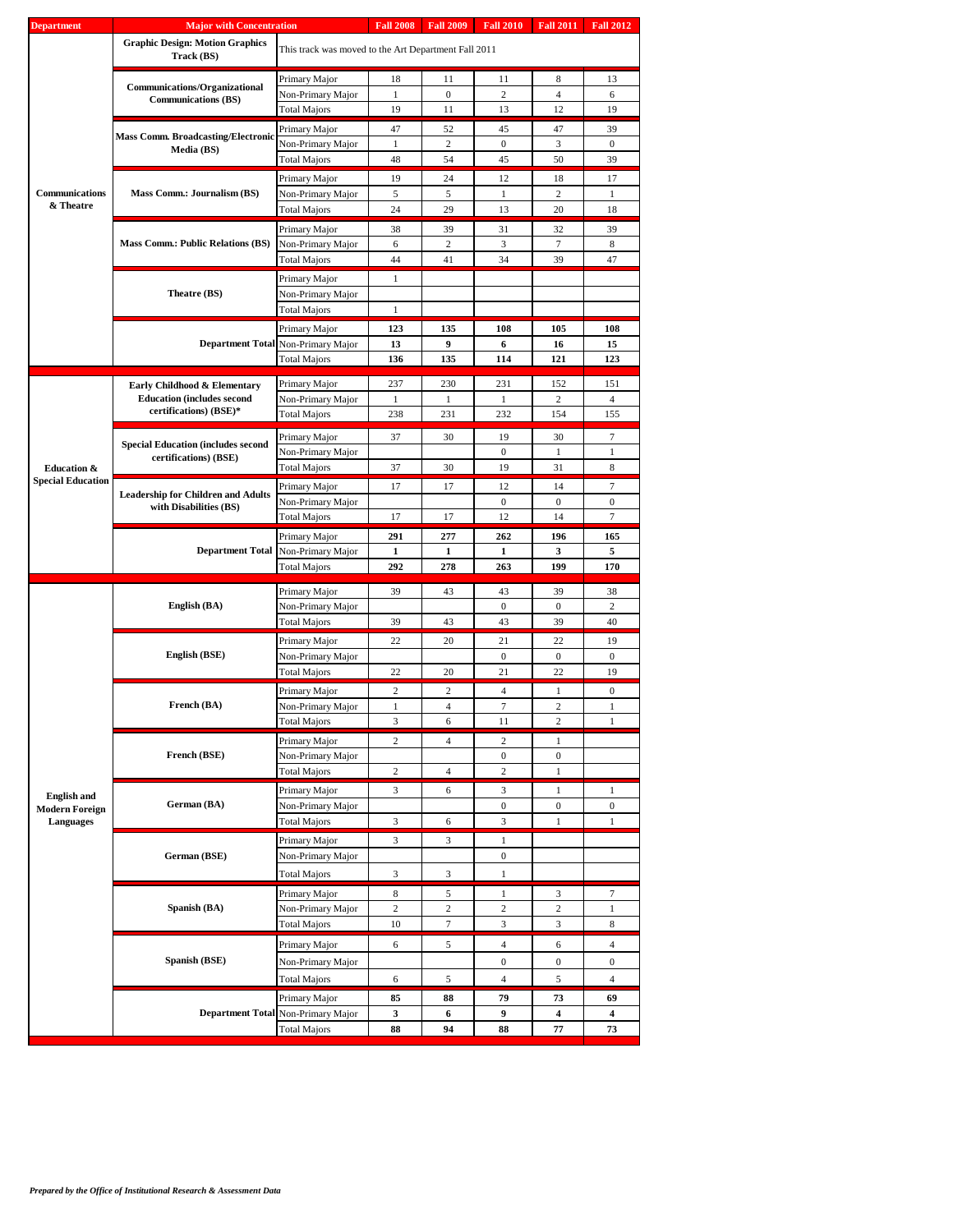| <b>Department</b>                  | <b>Major with Concentration</b>                                    |                                                      | <b>Fall 2008</b> | <b>Fall 2009</b>                                                                                                                                                                                                                                                                  | <b>Fall 2010</b>                                                                                                                                                                                                                                                                                                                                                                                                                                                                                                                                                              | <b>Fall 2011</b> | <b>Fall 2012</b>  |
|------------------------------------|--------------------------------------------------------------------|------------------------------------------------------|------------------|-----------------------------------------------------------------------------------------------------------------------------------------------------------------------------------------------------------------------------------------------------------------------------------|-------------------------------------------------------------------------------------------------------------------------------------------------------------------------------------------------------------------------------------------------------------------------------------------------------------------------------------------------------------------------------------------------------------------------------------------------------------------------------------------------------------------------------------------------------------------------------|------------------|-------------------|
|                                    | <b>Graphic Design: Motion Graphics</b><br>Track (BS)               | This track was moved to the Art Department Fall 2011 |                  |                                                                                                                                                                                                                                                                                   |                                                                                                                                                                                                                                                                                                                                                                                                                                                                                                                                                                               |                  |                   |
|                                    |                                                                    | Primary Major                                        | 18               | 11                                                                                                                                                                                                                                                                                | 11                                                                                                                                                                                                                                                                                                                                                                                                                                                                                                                                                                            | 8                | 13                |
|                                    | Communications/Organizational<br><b>Communications (BS)</b>        | Non-Primary Major                                    | 1                | $\mathbf{0}$                                                                                                                                                                                                                                                                      | 2                                                                                                                                                                                                                                                                                                                                                                                                                                                                                                                                                                             | 4                | 6                 |
|                                    |                                                                    | <b>Total Majors</b>                                  | 19               | 11                                                                                                                                                                                                                                                                                | 13                                                                                                                                                                                                                                                                                                                                                                                                                                                                                                                                                                            | 12               | 19                |
|                                    |                                                                    | Primary Major                                        | 47               | 52                                                                                                                                                                                                                                                                                | 45                                                                                                                                                                                                                                                                                                                                                                                                                                                                                                                                                                            | 47               | 39                |
|                                    | <b>Mass Comm. Broadcasting/Electronic</b><br>Media (BS)            | Non-Primary Major                                    | 1                | $\overline{c}$                                                                                                                                                                                                                                                                    | $\boldsymbol{0}$                                                                                                                                                                                                                                                                                                                                                                                                                                                                                                                                                              | 3                | $\mathbf{0}$      |
|                                    |                                                                    | Total Majors                                         | 48               | 54                                                                                                                                                                                                                                                                                | 45                                                                                                                                                                                                                                                                                                                                                                                                                                                                                                                                                                            | 50               | 39                |
|                                    |                                                                    | Primary Major                                        | 19               | 24                                                                                                                                                                                                                                                                                | 12                                                                                                                                                                                                                                                                                                                                                                                                                                                                                                                                                                            | 18               | 17                |
| Communications<br>& Theatre        | Mass Comm.: Journalism (BS)                                        | Non-Primary Major                                    | 5                | 5                                                                                                                                                                                                                                                                                 | 1                                                                                                                                                                                                                                                                                                                                                                                                                                                                                                                                                                             | $\overline{c}$   | 1                 |
|                                    |                                                                    | <b>Total Majors</b>                                  |                  |                                                                                                                                                                                                                                                                                   |                                                                                                                                                                                                                                                                                                                                                                                                                                                                                                                                                                               |                  | 18                |
|                                    |                                                                    | Primary Major                                        | 38               | 39                                                                                                                                                                                                                                                                                | 31                                                                                                                                                                                                                                                                                                                                                                                                                                                                                                                                                                            | 32               | 39                |
|                                    | <b>Mass Comm.: Public Relations (BS)</b>                           | Non-Primary Major                                    |                  |                                                                                                                                                                                                                                                                                   |                                                                                                                                                                                                                                                                                                                                                                                                                                                                                                                                                                               |                  | 8                 |
|                                    |                                                                    | Total Majors                                         |                  |                                                                                                                                                                                                                                                                                   |                                                                                                                                                                                                                                                                                                                                                                                                                                                                                                                                                                               |                  | 47                |
|                                    |                                                                    | Primary Major                                        |                  |                                                                                                                                                                                                                                                                                   |                                                                                                                                                                                                                                                                                                                                                                                                                                                                                                                                                                               |                  |                   |
|                                    | Theatre (BS)                                                       | Non-Primary Major                                    |                  |                                                                                                                                                                                                                                                                                   |                                                                                                                                                                                                                                                                                                                                                                                                                                                                                                                                                                               |                  |                   |
|                                    |                                                                    | Total Majors                                         |                  |                                                                                                                                                                                                                                                                                   |                                                                                                                                                                                                                                                                                                                                                                                                                                                                                                                                                                               |                  |                   |
|                                    |                                                                    | Primary Major                                        |                  |                                                                                                                                                                                                                                                                                   |                                                                                                                                                                                                                                                                                                                                                                                                                                                                                                                                                                               |                  | 108               |
|                                    |                                                                    | Department Total Non-Primary Major                   |                  | 24<br>29<br>$\overline{c}$<br>6<br>44<br>41<br>$\mathbf{1}$<br>$\mathbf{1}$<br>123<br>135<br>9<br>13<br>136<br>135<br>237<br>230<br>$\mathbf{1}$<br>1<br>238<br>231<br>37<br>30<br>37<br>30<br>17<br>17<br>17<br>17<br>291<br>277<br>1<br>1<br>292<br>278<br>39<br>43<br>39<br>43 |                                                                                                                                                                                                                                                                                                                                                                                                                                                                                                                                                                               |                  | 15<br>123         |
|                                    |                                                                    | <b>Total Majors</b>                                  |                  |                                                                                                                                                                                                                                                                                   |                                                                                                                                                                                                                                                                                                                                                                                                                                                                                                                                                                               |                  |                   |
|                                    | Early Childhood & Elementary                                       | Primary Major                                        |                  |                                                                                                                                                                                                                                                                                   | 231                                                                                                                                                                                                                                                                                                                                                                                                                                                                                                                                                                           | 152              | 151               |
|                                    | <b>Education (includes second)</b>                                 | Non-Primary Major                                    |                  |                                                                                                                                                                                                                                                                                   | 1                                                                                                                                                                                                                                                                                                                                                                                                                                                                                                                                                                             | $\overline{c}$   | $\overline{4}$    |
|                                    | certifications) (BSE)*                                             | <b>Total Majors</b>                                  |                  |                                                                                                                                                                                                                                                                                   | 232                                                                                                                                                                                                                                                                                                                                                                                                                                                                                                                                                                           |                  | 155               |
|                                    |                                                                    | Primary Major                                        |                  |                                                                                                                                                                                                                                                                                   | 19                                                                                                                                                                                                                                                                                                                                                                                                                                                                                                                                                                            | 30               | 7                 |
|                                    | <b>Special Education (includes second</b><br>certifications) (BSE) | Non-Primary Major                                    |                  |                                                                                                                                                                                                                                                                                   | $\boldsymbol{0}$                                                                                                                                                                                                                                                                                                                                                                                                                                                                                                                                                              | 1                | 1                 |
| <b>Education &amp;</b>             |                                                                    | <b>Total Majors</b>                                  |                  |                                                                                                                                                                                                                                                                                   | 19                                                                                                                                                                                                                                                                                                                                                                                                                                                                                                                                                                            | 31               | 8                 |
| <b>Special Education</b>           | <b>Leadership for Children and Adults</b>                          | Primary Major                                        |                  |                                                                                                                                                                                                                                                                                   | 12                                                                                                                                                                                                                                                                                                                                                                                                                                                                                                                                                                            | 14               | 7                 |
|                                    | with Disabilities (BS)                                             | Non-Primary Major                                    |                  |                                                                                                                                                                                                                                                                                   | $\boldsymbol{0}$                                                                                                                                                                                                                                                                                                                                                                                                                                                                                                                                                              | $\boldsymbol{0}$ | $\boldsymbol{0}$  |
|                                    |                                                                    | Total Majors                                         |                  |                                                                                                                                                                                                                                                                                   |                                                                                                                                                                                                                                                                                                                                                                                                                                                                                                                                                                               |                  | 7                 |
|                                    |                                                                    | Primary Major                                        |                  |                                                                                                                                                                                                                                                                                   | 262                                                                                                                                                                                                                                                                                                                                                                                                                                                                                                                                                                           | 196              | 165               |
|                                    | <b>Department Total</b>                                            | Non-Primary Major                                    |                  |                                                                                                                                                                                                                                                                                   | 1                                                                                                                                                                                                                                                                                                                                                                                                                                                                                                                                                                             | 3                | 5                 |
|                                    |                                                                    | Total Majors                                         |                  |                                                                                                                                                                                                                                                                                   |                                                                                                                                                                                                                                                                                                                                                                                                                                                                                                                                                                               |                  | 170               |
|                                    |                                                                    | Primary Major                                        |                  | 43                                                                                                                                                                                                                                                                                | 39                                                                                                                                                                                                                                                                                                                                                                                                                                                                                                                                                                            | 38               |                   |
|                                    | English (BA)                                                       | Non-Primary Major                                    |                  |                                                                                                                                                                                                                                                                                   | $\boldsymbol{0}$                                                                                                                                                                                                                                                                                                                                                                                                                                                                                                                                                              | $\boldsymbol{0}$ | 2                 |
|                                    |                                                                    | <b>Total Majors</b>                                  |                  |                                                                                                                                                                                                                                                                                   | 43                                                                                                                                                                                                                                                                                                                                                                                                                                                                                                                                                                            | 39               | 40                |
|                                    |                                                                    | Primary Major                                        | 22               | 20                                                                                                                                                                                                                                                                                | 21                                                                                                                                                                                                                                                                                                                                                                                                                                                                                                                                                                            | 22               | 19                |
|                                    | English (BSE)                                                      | Non-Primary Major                                    |                  |                                                                                                                                                                                                                                                                                   | $\boldsymbol{0}$                                                                                                                                                                                                                                                                                                                                                                                                                                                                                                                                                              | $\mathbf{0}$     | $\mathbf{0}$      |
|                                    |                                                                    | <b>Total Majors</b>                                  | 22               |                                                                                                                                                                                                                                                                                   |                                                                                                                                                                                                                                                                                                                                                                                                                                                                                                                                                                               |                  | 19                |
|                                    |                                                                    | Primary Major                                        | $\overline{2}$   | 2                                                                                                                                                                                                                                                                                 | $\overline{4}$                                                                                                                                                                                                                                                                                                                                                                                                                                                                                                                                                                | 1                | $\mathbf{0}$      |
|                                    | French (BA)                                                        | Non-Primary Major                                    | $\mathbf{1}$     |                                                                                                                                                                                                                                                                                   |                                                                                                                                                                                                                                                                                                                                                                                                                                                                                                                                                                               |                  | $\mathbf{1}$      |
|                                    |                                                                    | Total Majors                                         | 3                |                                                                                                                                                                                                                                                                                   |                                                                                                                                                                                                                                                                                                                                                                                                                                                                                                                                                                               |                  | 1                 |
|                                    | French (BSE)                                                       | Primary Major                                        | 2                |                                                                                                                                                                                                                                                                                   |                                                                                                                                                                                                                                                                                                                                                                                                                                                                                                                                                                               |                  |                   |
|                                    |                                                                    | Non-Primary Major<br><b>Total Majors</b>             | $\overline{c}$   |                                                                                                                                                                                                                                                                                   |                                                                                                                                                                                                                                                                                                                                                                                                                                                                                                                                                                               |                  |                   |
|                                    |                                                                    |                                                      |                  |                                                                                                                                                                                                                                                                                   |                                                                                                                                                                                                                                                                                                                                                                                                                                                                                                                                                                               |                  |                   |
| <b>English and</b>                 | German (BA)                                                        | Primary Major<br>Non-Primary Major                   | $\mathfrak{Z}$   |                                                                                                                                                                                                                                                                                   |                                                                                                                                                                                                                                                                                                                                                                                                                                                                                                                                                                               |                  | $\mathbf{1}$<br>0 |
| <b>Modern Foreign</b><br>Languages |                                                                    | <b>Total Majors</b>                                  | 3                |                                                                                                                                                                                                                                                                                   |                                                                                                                                                                                                                                                                                                                                                                                                                                                                                                                                                                               |                  | $\mathbf{1}$      |
|                                    |                                                                    | Primary Major                                        | $\mathfrak{Z}$   |                                                                                                                                                                                                                                                                                   |                                                                                                                                                                                                                                                                                                                                                                                                                                                                                                                                                                               |                  |                   |
|                                    | German (BSE)                                                       | Non-Primary Major                                    |                  |                                                                                                                                                                                                                                                                                   |                                                                                                                                                                                                                                                                                                                                                                                                                                                                                                                                                                               |                  |                   |
|                                    |                                                                    | <b>Total Majors</b>                                  | 3                |                                                                                                                                                                                                                                                                                   | 13<br>20<br>$\tau$<br>3<br>34<br>39<br>108<br>105<br>6<br>16<br>121<br>114<br>154<br>12<br>14<br>199<br>263<br>20<br>21<br>22<br>$\tau$<br>$\overline{c}$<br>$\overline{4}$<br>6<br>11<br>2<br>$\overline{4}$<br>$\mathbf{2}$<br>1<br>$\boldsymbol{0}$<br>$\boldsymbol{0}$<br>$\overline{4}$<br>$\overline{c}$<br>$\mathbf{1}$<br>6<br>3<br>$\mathbf{1}$<br>$\boldsymbol{0}$<br>0<br>3<br>$\mathbf{1}$<br>6<br>3<br>$\mathbf{1}$<br>$\boldsymbol{0}$<br>3<br>$\mathbf{1}$<br>5<br>$\mathbf{1}$<br>3<br>2<br>$\mathbf{2}$<br>2<br>$\tau$<br>3<br>3<br>$\overline{4}$<br>5<br>6 |                  |                   |
|                                    |                                                                    |                                                      |                  |                                                                                                                                                                                                                                                                                   |                                                                                                                                                                                                                                                                                                                                                                                                                                                                                                                                                                               |                  |                   |
|                                    | Spanish (BA)                                                       | Primary Major                                        | 8                |                                                                                                                                                                                                                                                                                   |                                                                                                                                                                                                                                                                                                                                                                                                                                                                                                                                                                               |                  | $\tau$            |
|                                    |                                                                    | Non-Primary Major<br><b>Total Majors</b>             | 2<br>10          |                                                                                                                                                                                                                                                                                   |                                                                                                                                                                                                                                                                                                                                                                                                                                                                                                                                                                               | 1<br>8           |                   |
|                                    |                                                                    |                                                      |                  |                                                                                                                                                                                                                                                                                   |                                                                                                                                                                                                                                                                                                                                                                                                                                                                                                                                                                               |                  |                   |
|                                    |                                                                    | Primary Major                                        | 6                |                                                                                                                                                                                                                                                                                   |                                                                                                                                                                                                                                                                                                                                                                                                                                                                                                                                                                               |                  | $\overline{4}$    |
|                                    | Spanish (BSE)                                                      | Non-Primary Major                                    |                  |                                                                                                                                                                                                                                                                                   | $\boldsymbol{0}$                                                                                                                                                                                                                                                                                                                                                                                                                                                                                                                                                              | $\boldsymbol{0}$ | $\boldsymbol{0}$  |
|                                    |                                                                    | Total Majors                                         | 6                | 5                                                                                                                                                                                                                                                                                 | $\overline{4}$                                                                                                                                                                                                                                                                                                                                                                                                                                                                                                                                                                | 5                | $\overline{4}$    |
|                                    |                                                                    | Primary Major                                        | 85               | 88                                                                                                                                                                                                                                                                                | 79                                                                                                                                                                                                                                                                                                                                                                                                                                                                                                                                                                            | 73               | 69                |
|                                    | <b>Department Total</b>                                            | Non-Primary Major                                    | 3                | 6                                                                                                                                                                                                                                                                                 | 9                                                                                                                                                                                                                                                                                                                                                                                                                                                                                                                                                                             | 4                | 4                 |
|                                    |                                                                    | Total Majors                                         | 88               | 94                                                                                                                                                                                                                                                                                | 88                                                                                                                                                                                                                                                                                                                                                                                                                                                                                                                                                                            | 77               | 73                |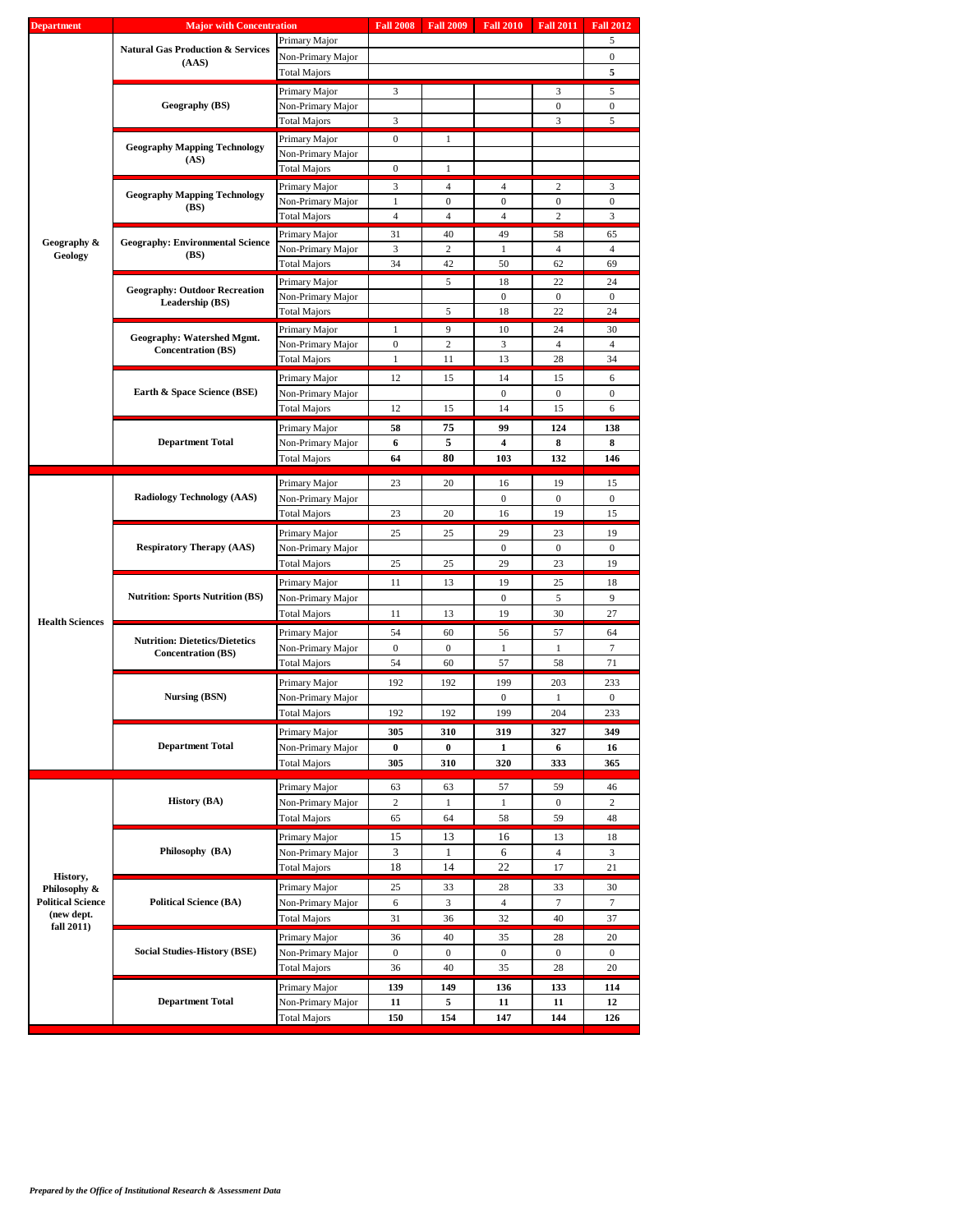| <b>Department</b>        | <b>Major with Concentration</b>              |                     | <b>Fall 2008</b> | <b>Fall 2009</b> | <b>Fall 2010</b> |                                                                                                                                                                                                                                                                                                                              | <b>Fall 2012</b> |
|--------------------------|----------------------------------------------|---------------------|------------------|------------------|------------------|------------------------------------------------------------------------------------------------------------------------------------------------------------------------------------------------------------------------------------------------------------------------------------------------------------------------------|------------------|
|                          |                                              | Primary Major       |                  |                  |                  |                                                                                                                                                                                                                                                                                                                              | 5                |
|                          | <b>Natural Gas Production &amp; Services</b> | Non-Primary Major   |                  |                  |                  |                                                                                                                                                                                                                                                                                                                              | $\mathbf{0}$     |
|                          | (AdS)                                        | <b>Total Majors</b> |                  |                  |                  |                                                                                                                                                                                                                                                                                                                              | 5                |
|                          |                                              |                     |                  |                  |                  |                                                                                                                                                                                                                                                                                                                              |                  |
|                          |                                              | Primary Major       | 3                |                  |                  |                                                                                                                                                                                                                                                                                                                              | 5                |
|                          | Geography (BS)                               | Non-Primary Major   |                  |                  |                  | $\mathbf{0}$                                                                                                                                                                                                                                                                                                                 | $\mathbf{0}$     |
|                          |                                              | Total Majors        | 3                |                  |                  | 3                                                                                                                                                                                                                                                                                                                            | 5                |
|                          |                                              |                     | $\boldsymbol{0}$ | $\mathbf{1}$     |                  |                                                                                                                                                                                                                                                                                                                              |                  |
|                          | <b>Geography Mapping Technology</b>          | Primary Major       |                  |                  |                  |                                                                                                                                                                                                                                                                                                                              |                  |
|                          | (AS)                                         | Non-Primary Major   |                  |                  |                  |                                                                                                                                                                                                                                                                                                                              |                  |
|                          |                                              | <b>Total Majors</b> | $\boldsymbol{0}$ | 1                |                  |                                                                                                                                                                                                                                                                                                                              |                  |
|                          |                                              | Primary Major       | 3                | $\overline{4}$   | $\overline{4}$   | 2                                                                                                                                                                                                                                                                                                                            | 3                |
|                          | <b>Geography Mapping Technology</b>          | Non-Primary Major   | 1                | $\mathbf{0}$     | 0                | $\boldsymbol{0}$                                                                                                                                                                                                                                                                                                             | $\bf{0}$         |
|                          | (BS)                                         | Total Majors        | $\overline{4}$   | $\overline{4}$   | $\overline{4}$   |                                                                                                                                                                                                                                                                                                                              | 3                |
|                          |                                              |                     |                  |                  |                  |                                                                                                                                                                                                                                                                                                                              |                  |
| Geography &              | <b>Geography: Environmental Science</b>      | Primary Major       | 31               | 40               | 49               |                                                                                                                                                                                                                                                                                                                              | 65               |
| Geology                  | (BS)                                         | Non-Primary Major   | 3                | $\overline{2}$   | 1                |                                                                                                                                                                                                                                                                                                                              | $\overline{4}$   |
|                          |                                              | Total Majors        | 34               | 42               | 50               | 62                                                                                                                                                                                                                                                                                                                           | 69               |
|                          |                                              | Primary Major       |                  | 5                | 18               |                                                                                                                                                                                                                                                                                                                              | 24               |
|                          | <b>Geography: Outdoor Recreation</b>         | Non-Primary Major   |                  |                  | $\mathbf{0}$     |                                                                                                                                                                                                                                                                                                                              | $\mathbf{0}$     |
|                          | Leadership (BS)                              | <b>Total Majors</b> |                  | 5                | 18               |                                                                                                                                                                                                                                                                                                                              | 24               |
|                          |                                              |                     |                  |                  |                  |                                                                                                                                                                                                                                                                                                                              |                  |
|                          | Geography: Watershed Mgmt.                   | Primary Major       | 1                | 9                | 10               |                                                                                                                                                                                                                                                                                                                              | 30               |
|                          | <b>Concentration (BS)</b>                    | Non-Primary Major   | $\boldsymbol{0}$ | $\overline{2}$   | 3                | $\overline{4}$                                                                                                                                                                                                                                                                                                               | $\overline{4}$   |
|                          |                                              | <b>Total Majors</b> | 1                | 11               | 13               | 28                                                                                                                                                                                                                                                                                                                           | 34               |
|                          |                                              |                     |                  |                  |                  |                                                                                                                                                                                                                                                                                                                              |                  |
|                          |                                              | Primary Major       | 12               | 15               | 14               |                                                                                                                                                                                                                                                                                                                              | 6                |
|                          | Earth & Space Science (BSE)                  | Non-Primary Major   |                  |                  | $\boldsymbol{0}$ |                                                                                                                                                                                                                                                                                                                              | $\mathbf{0}$     |
|                          |                                              | <b>Total Majors</b> | 12               | 15               | 14               | 15                                                                                                                                                                                                                                                                                                                           | 6                |
|                          |                                              | Primary Major       | 58               | 75               | 99               |                                                                                                                                                                                                                                                                                                                              | 138              |
|                          | <b>Department Total</b>                      |                     | 6                | 5                | 4                |                                                                                                                                                                                                                                                                                                                              | 8                |
|                          |                                              | Non-Primary Major   |                  |                  |                  |                                                                                                                                                                                                                                                                                                                              |                  |
|                          |                                              | Total Majors        | 64               | 80               | 103              |                                                                                                                                                                                                                                                                                                                              | 146              |
|                          |                                              | Primary Major       | 23               | 20               | 16               |                                                                                                                                                                                                                                                                                                                              | 15               |
|                          |                                              |                     |                  |                  |                  |                                                                                                                                                                                                                                                                                                                              |                  |
|                          | <b>Radiology Technology (AAS)</b>            | Non-Primary Major   |                  |                  | $\mathbf{0}$     |                                                                                                                                                                                                                                                                                                                              | $\mathbf{0}$     |
|                          |                                              | Total Majors        | 23               | 20               | 16               |                                                                                                                                                                                                                                                                                                                              | 15               |
|                          |                                              | Primary Major       | 25               | 25               | 29               | 23                                                                                                                                                                                                                                                                                                                           | 19               |
|                          | <b>Respiratory Therapy (AAS)</b>             | Non-Primary Major   |                  |                  | $\boldsymbol{0}$ |                                                                                                                                                                                                                                                                                                                              | $\mathbf{0}$     |
|                          |                                              |                     |                  |                  |                  |                                                                                                                                                                                                                                                                                                                              |                  |
|                          |                                              | <b>Total Majors</b> | 25               | 25               | 29               |                                                                                                                                                                                                                                                                                                                              | 19               |
|                          |                                              | Primary Major       | 11               | 13               | 19               | 25                                                                                                                                                                                                                                                                                                                           | 18               |
|                          | <b>Nutrition: Sports Nutrition (BS)</b>      | Non-Primary Major   |                  |                  | $\boldsymbol{0}$ |                                                                                                                                                                                                                                                                                                                              | 9                |
|                          |                                              | <b>Total Majors</b> | 11               | 13               | 19               |                                                                                                                                                                                                                                                                                                                              | 27               |
| <b>Health Sciences</b>   |                                              |                     |                  |                  |                  |                                                                                                                                                                                                                                                                                                                              |                  |
|                          | <b>Nutrition: Dietetics/Dietetics</b>        | Primary Major       | 54               | 60               | 56               |                                                                                                                                                                                                                                                                                                                              | 64               |
|                          | <b>Concentration (BS)</b>                    | Non-Primary Major   | $\boldsymbol{0}$ | $\mathbf{0}$     | 1                | $\mathbf{1}$                                                                                                                                                                                                                                                                                                                 | 7                |
|                          |                                              | Total Majors        | 54               | 60               | 57               | 58                                                                                                                                                                                                                                                                                                                           | 71               |
|                          |                                              | Primary Major       | 192              | 192              | 199              |                                                                                                                                                                                                                                                                                                                              |                  |
|                          |                                              |                     |                  |                  |                  |                                                                                                                                                                                                                                                                                                                              | 233              |
|                          | Nursing (BSN)                                | Non-Primary Major   |                  |                  | 0                |                                                                                                                                                                                                                                                                                                                              | $\boldsymbol{0}$ |
|                          |                                              | <b>Total Majors</b> | 192              | 192              | 199              |                                                                                                                                                                                                                                                                                                                              | 233              |
|                          |                                              | Primary Major       | 305              | 310              | 319              | 327                                                                                                                                                                                                                                                                                                                          | 349              |
|                          | <b>Department Total</b>                      | Non-Primary Major   | 0                | $\bf{0}$         | 1                |                                                                                                                                                                                                                                                                                                                              | 16               |
|                          |                                              | Total Majors        | 305              | 310              | 320              |                                                                                                                                                                                                                                                                                                                              | 365              |
|                          |                                              |                     |                  |                  |                  | <b>Fall 2011</b><br>3<br>$\overline{c}$<br>58<br>$\overline{4}$<br>22<br>$\boldsymbol{0}$<br>22<br>24<br>15<br>$\boldsymbol{0}$<br>124<br>8<br>132<br>19<br>$\overline{0}$<br>19<br>$\boldsymbol{0}$<br>23<br>5<br>30<br>57<br>203<br>1<br>204<br>6<br>333<br>59<br>$\boldsymbol{0}$<br>59<br>13<br>4<br>17<br>33<br>7<br>40 |                  |
|                          |                                              | Primary Major       | 63               | 63               | 57               |                                                                                                                                                                                                                                                                                                                              | 46               |
|                          | <b>History (BA)</b>                          | Non-Primary Major   | 2                | 1                | 1                |                                                                                                                                                                                                                                                                                                                              | 2                |
|                          |                                              |                     |                  |                  |                  |                                                                                                                                                                                                                                                                                                                              |                  |
|                          |                                              | <b>Total Majors</b> | 65               | 64               | 58               |                                                                                                                                                                                                                                                                                                                              | 48               |
|                          |                                              | Primary Major       | 15               | 13               | 16               |                                                                                                                                                                                                                                                                                                                              | 18               |
|                          | Philosophy (BA)                              | Non-Primary Major   | 3                | 1                | 6                |                                                                                                                                                                                                                                                                                                                              | 3                |
|                          |                                              | Total Majors        | 18               | 14               | 22               |                                                                                                                                                                                                                                                                                                                              | 21               |
| History,                 |                                              |                     |                  |                  |                  |                                                                                                                                                                                                                                                                                                                              |                  |
| Philosophy &             |                                              | Primary Major       | 25               | 33               | 28               |                                                                                                                                                                                                                                                                                                                              | 30               |
| <b>Political Science</b> | <b>Political Science (BA)</b>                | Non-Primary Major   | 6                | 3                | 4                |                                                                                                                                                                                                                                                                                                                              | 7                |
| (new dept.               |                                              | Total Majors        | 31               | 36               | 32               |                                                                                                                                                                                                                                                                                                                              | 37               |
| fall 2011)               |                                              |                     |                  |                  |                  |                                                                                                                                                                                                                                                                                                                              |                  |
|                          |                                              | Primary Major       | 36               | 40               | 35               | 28                                                                                                                                                                                                                                                                                                                           | 20               |
|                          | <b>Social Studies-History (BSE)</b>          | Non-Primary Major   | $\boldsymbol{0}$ | $\mathbf{0}$     | $\boldsymbol{0}$ | $\mathbf{0}$                                                                                                                                                                                                                                                                                                                 | $\mathbf{0}$     |
|                          |                                              | <b>Total Majors</b> | 36               | 40               | 35               | 28                                                                                                                                                                                                                                                                                                                           | 20               |
|                          |                                              | Primary Major       | 139              | 149              | 136              | 133                                                                                                                                                                                                                                                                                                                          | 114              |
|                          | <b>Department Total</b>                      |                     |                  |                  |                  |                                                                                                                                                                                                                                                                                                                              |                  |
|                          |                                              | Non-Primary Major   | 11               | 5                | 11               | 11                                                                                                                                                                                                                                                                                                                           | 12               |
|                          |                                              | Total Majors        | 150              | 154              | 147              | 144                                                                                                                                                                                                                                                                                                                          | 126              |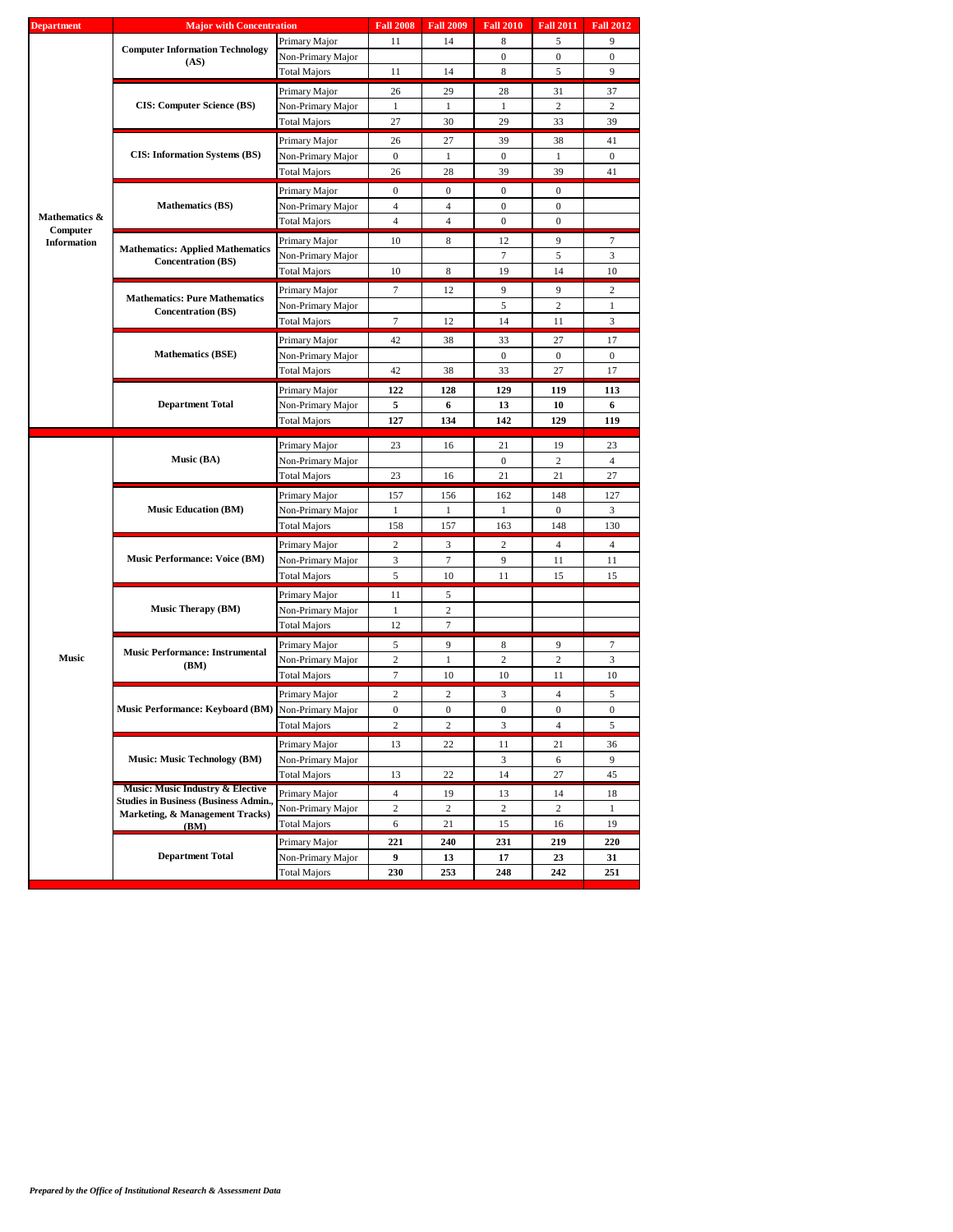|                                                               | <b>Major with Concentration</b>                |                                    | <b>Fall 2008</b> |                                                                                                                                                                                                                                                                                                                                                                                                                                                                                                                                                                                                                                                                                                                                                                                                                                                                                                                                                                                                                                                                                                                                                                                                                                                                                                                                                                                                                                             |     |                                          |              |
|---------------------------------------------------------------|------------------------------------------------|------------------------------------|------------------|---------------------------------------------------------------------------------------------------------------------------------------------------------------------------------------------------------------------------------------------------------------------------------------------------------------------------------------------------------------------------------------------------------------------------------------------------------------------------------------------------------------------------------------------------------------------------------------------------------------------------------------------------------------------------------------------------------------------------------------------------------------------------------------------------------------------------------------------------------------------------------------------------------------------------------------------------------------------------------------------------------------------------------------------------------------------------------------------------------------------------------------------------------------------------------------------------------------------------------------------------------------------------------------------------------------------------------------------------------------------------------------------------------------------------------------------|-----|------------------------------------------|--------------|
|                                                               |                                                | Primary Major                      | 11               | 14                                                                                                                                                                                                                                                                                                                                                                                                                                                                                                                                                                                                                                                                                                                                                                                                                                                                                                                                                                                                                                                                                                                                                                                                                                                                                                                                                                                                                                          | 8   | 5                                        | 9            |
|                                                               | <b>Computer Information Technology</b><br>(AS) | Non-Primary Major                  |                  |                                                                                                                                                                                                                                                                                                                                                                                                                                                                                                                                                                                                                                                                                                                                                                                                                                                                                                                                                                                                                                                                                                                                                                                                                                                                                                                                                                                                                                             | 0   | $\boldsymbol{0}$                         | $\mathbf{0}$ |
|                                                               |                                                | Total Majors                       | 11               | <b>Fall 2012</b><br><b>Fall 2009</b><br><b>Fall 2010</b><br><b>Fall 2011</b><br>14<br>8<br>5<br>9<br>29<br>28<br>31<br>37<br>1<br>1<br>2<br>2<br>30<br>29<br>33<br>39<br>27<br>39<br>38<br>41<br>$\mathbf{1}$<br>$\boldsymbol{0}$<br>$\mathbf{1}$<br>$\mathbf{0}$<br>41<br>28<br>39<br>39<br>$\mathbf{0}$<br>$\boldsymbol{0}$<br>$\mathbf{0}$<br>$\boldsymbol{0}$<br>$\overline{4}$<br>$\mathbf{0}$<br>$\overline{4}$<br>$\mathbf{0}$<br>$\mathbf{0}$<br>9<br>8<br>12<br>7<br>5<br>3<br>7<br>14<br>10<br>8<br>19<br>12<br>9<br>9<br>$\overline{c}$<br>5<br>2<br>$\mathbf{1}$<br>12<br>14<br>3<br>11<br>38<br>33<br>17<br>27<br>$\overline{0}$<br>$\mathbf{0}$<br>$\mathbf{0}$<br>33<br>27<br>17<br>38<br>128<br>129<br>119<br>113<br>6<br>13<br>10<br>6<br>134<br>129<br>119<br>142<br>16<br>21<br>19<br>23<br>2<br>$\mathbf{0}$<br>$\overline{4}$<br>21<br>27<br>16<br>21<br>156<br>148<br>127<br>162<br>$\mathbf{1}$<br>1<br>$\mathbf{0}$<br>3<br>157<br>163<br>148<br>130<br>2<br>$\overline{4}$<br>$\overline{4}$<br>3<br>7<br>9<br>11<br>11<br>10<br>11<br>15<br>15<br>5<br>2<br>$\tau$<br>9<br>9<br>7<br>8<br>$\overline{c}$<br>$\mathbf{1}$<br>2<br>3<br>10<br>10<br>11<br>10<br>$\overline{c}$<br>$\overline{4}$<br>3<br>5<br>$\boldsymbol{0}$<br>$\boldsymbol{0}$<br>$\mathbf{0}$<br>$\mathbf{0}$<br>$\sqrt{2}$<br>3<br>$\overline{4}$<br>5<br>22<br>11<br>21<br>36<br>3<br>6<br>9<br>22<br>14<br>27<br>45<br>19<br>13<br>14<br>18 |     |                                          |              |
| <b>Department</b><br>Mathematics &<br>Computer<br>Information |                                                | Primary Major                      | 26               |                                                                                                                                                                                                                                                                                                                                                                                                                                                                                                                                                                                                                                                                                                                                                                                                                                                                                                                                                                                                                                                                                                                                                                                                                                                                                                                                                                                                                                             |     |                                          |              |
|                                                               | <b>CIS: Computer Science (BS)</b>              | Non-Primary Major                  | 1                |                                                                                                                                                                                                                                                                                                                                                                                                                                                                                                                                                                                                                                                                                                                                                                                                                                                                                                                                                                                                                                                                                                                                                                                                                                                                                                                                                                                                                                             |     |                                          |              |
|                                                               |                                                | <b>Total Majors</b>                | 27               |                                                                                                                                                                                                                                                                                                                                                                                                                                                                                                                                                                                                                                                                                                                                                                                                                                                                                                                                                                                                                                                                                                                                                                                                                                                                                                                                                                                                                                             |     |                                          |              |
|                                                               |                                                |                                    |                  |                                                                                                                                                                                                                                                                                                                                                                                                                                                                                                                                                                                                                                                                                                                                                                                                                                                                                                                                                                                                                                                                                                                                                                                                                                                                                                                                                                                                                                             |     |                                          |              |
|                                                               |                                                | Primary Major                      | 26               |                                                                                                                                                                                                                                                                                                                                                                                                                                                                                                                                                                                                                                                                                                                                                                                                                                                                                                                                                                                                                                                                                                                                                                                                                                                                                                                                                                                                                                             |     |                                          |              |
|                                                               | <b>CIS: Information Systems (BS)</b>           | Non-Primary Major                  | $\mathbf{0}$     |                                                                                                                                                                                                                                                                                                                                                                                                                                                                                                                                                                                                                                                                                                                                                                                                                                                                                                                                                                                                                                                                                                                                                                                                                                                                                                                                                                                                                                             |     |                                          |              |
|                                                               |                                                | Total Majors                       | 26               |                                                                                                                                                                                                                                                                                                                                                                                                                                                                                                                                                                                                                                                                                                                                                                                                                                                                                                                                                                                                                                                                                                                                                                                                                                                                                                                                                                                                                                             |     |                                          |              |
|                                                               |                                                | Primary Major                      | $\boldsymbol{0}$ |                                                                                                                                                                                                                                                                                                                                                                                                                                                                                                                                                                                                                                                                                                                                                                                                                                                                                                                                                                                                                                                                                                                                                                                                                                                                                                                                                                                                                                             |     |                                          |              |
|                                                               | <b>Mathematics (BS)</b>                        | Non-Primary Major                  | $\overline{4}$   |                                                                                                                                                                                                                                                                                                                                                                                                                                                                                                                                                                                                                                                                                                                                                                                                                                                                                                                                                                                                                                                                                                                                                                                                                                                                                                                                                                                                                                             |     |                                          |              |
|                                                               |                                                | Total Majors                       | $\overline{4}$   |                                                                                                                                                                                                                                                                                                                                                                                                                                                                                                                                                                                                                                                                                                                                                                                                                                                                                                                                                                                                                                                                                                                                                                                                                                                                                                                                                                                                                                             |     |                                          |              |
|                                                               |                                                | Primary Major                      | 10               |                                                                                                                                                                                                                                                                                                                                                                                                                                                                                                                                                                                                                                                                                                                                                                                                                                                                                                                                                                                                                                                                                                                                                                                                                                                                                                                                                                                                                                             |     |                                          |              |
|                                                               | <b>Mathematics: Applied Mathematics</b>        | Non-Primary Major                  |                  |                                                                                                                                                                                                                                                                                                                                                                                                                                                                                                                                                                                                                                                                                                                                                                                                                                                                                                                                                                                                                                                                                                                                                                                                                                                                                                                                                                                                                                             |     |                                          |              |
|                                                               | <b>Concentration (BS)</b>                      | Total Majors                       | 10               |                                                                                                                                                                                                                                                                                                                                                                                                                                                                                                                                                                                                                                                                                                                                                                                                                                                                                                                                                                                                                                                                                                                                                                                                                                                                                                                                                                                                                                             |     |                                          |              |
|                                                               |                                                |                                    |                  |                                                                                                                                                                                                                                                                                                                                                                                                                                                                                                                                                                                                                                                                                                                                                                                                                                                                                                                                                                                                                                                                                                                                                                                                                                                                                                                                                                                                                                             |     |                                          |              |
|                                                               | <b>Mathematics: Pure Mathematics</b>           | Primary Major                      | 7                |                                                                                                                                                                                                                                                                                                                                                                                                                                                                                                                                                                                                                                                                                                                                                                                                                                                                                                                                                                                                                                                                                                                                                                                                                                                                                                                                                                                                                                             |     |                                          |              |
|                                                               | <b>Concentration (BS)</b>                      | Non-Primary Major                  |                  |                                                                                                                                                                                                                                                                                                                                                                                                                                                                                                                                                                                                                                                                                                                                                                                                                                                                                                                                                                                                                                                                                                                                                                                                                                                                                                                                                                                                                                             |     |                                          |              |
|                                                               |                                                | Total Majors                       |                  |                                                                                                                                                                                                                                                                                                                                                                                                                                                                                                                                                                                                                                                                                                                                                                                                                                                                                                                                                                                                                                                                                                                                                                                                                                                                                                                                                                                                                                             |     |                                          |              |
|                                                               |                                                | Primary Major                      | 42               |                                                                                                                                                                                                                                                                                                                                                                                                                                                                                                                                                                                                                                                                                                                                                                                                                                                                                                                                                                                                                                                                                                                                                                                                                                                                                                                                                                                                                                             |     |                                          |              |
|                                                               | <b>Mathematics (BSE)</b>                       | Non-Primary Major                  |                  |                                                                                                                                                                                                                                                                                                                                                                                                                                                                                                                                                                                                                                                                                                                                                                                                                                                                                                                                                                                                                                                                                                                                                                                                                                                                                                                                                                                                                                             |     |                                          |              |
|                                                               |                                                | Total Majors                       | 42               |                                                                                                                                                                                                                                                                                                                                                                                                                                                                                                                                                                                                                                                                                                                                                                                                                                                                                                                                                                                                                                                                                                                                                                                                                                                                                                                                                                                                                                             |     |                                          |              |
|                                                               |                                                | Primary Major                      |                  |                                                                                                                                                                                                                                                                                                                                                                                                                                                                                                                                                                                                                                                                                                                                                                                                                                                                                                                                                                                                                                                                                                                                                                                                                                                                                                                                                                                                                                             |     |                                          |              |
|                                                               | <b>Department Total</b>                        | Non-Primary Major                  |                  |                                                                                                                                                                                                                                                                                                                                                                                                                                                                                                                                                                                                                                                                                                                                                                                                                                                                                                                                                                                                                                                                                                                                                                                                                                                                                                                                                                                                                                             |     |                                          |              |
|                                                               |                                                | Total Majors                       |                  |                                                                                                                                                                                                                                                                                                                                                                                                                                                                                                                                                                                                                                                                                                                                                                                                                                                                                                                                                                                                                                                                                                                                                                                                                                                                                                                                                                                                                                             |     |                                          |              |
|                                                               |                                                |                                    |                  |                                                                                                                                                                                                                                                                                                                                                                                                                                                                                                                                                                                                                                                                                                                                                                                                                                                                                                                                                                                                                                                                                                                                                                                                                                                                                                                                                                                                                                             |     |                                          |              |
|                                                               |                                                | Primary Major                      | 23               |                                                                                                                                                                                                                                                                                                                                                                                                                                                                                                                                                                                                                                                                                                                                                                                                                                                                                                                                                                                                                                                                                                                                                                                                                                                                                                                                                                                                                                             |     |                                          |              |
|                                                               | Music (BA)                                     | Non-Primary Major                  |                  |                                                                                                                                                                                                                                                                                                                                                                                                                                                                                                                                                                                                                                                                                                                                                                                                                                                                                                                                                                                                                                                                                                                                                                                                                                                                                                                                                                                                                                             |     |                                          |              |
|                                                               |                                                | Total Majors                       | 23               |                                                                                                                                                                                                                                                                                                                                                                                                                                                                                                                                                                                                                                                                                                                                                                                                                                                                                                                                                                                                                                                                                                                                                                                                                                                                                                                                                                                                                                             |     |                                          |              |
|                                                               |                                                | Primary Major                      | 157              |                                                                                                                                                                                                                                                                                                                                                                                                                                                                                                                                                                                                                                                                                                                                                                                                                                                                                                                                                                                                                                                                                                                                                                                                                                                                                                                                                                                                                                             |     |                                          |              |
|                                                               | <b>Music Education (BM)</b>                    | Non-Primary Major                  | $\mathbf{1}$     |                                                                                                                                                                                                                                                                                                                                                                                                                                                                                                                                                                                                                                                                                                                                                                                                                                                                                                                                                                                                                                                                                                                                                                                                                                                                                                                                                                                                                                             |     |                                          |              |
|                                                               |                                                | Total Majors                       | 158              |                                                                                                                                                                                                                                                                                                                                                                                                                                                                                                                                                                                                                                                                                                                                                                                                                                                                                                                                                                                                                                                                                                                                                                                                                                                                                                                                                                                                                                             |     | $\boldsymbol{2}$<br>$\overline{c}$<br>16 |              |
|                                                               |                                                | Primary Major                      |                  |                                                                                                                                                                                                                                                                                                                                                                                                                                                                                                                                                                                                                                                                                                                                                                                                                                                                                                                                                                                                                                                                                                                                                                                                                                                                                                                                                                                                                                             |     |                                          |              |
|                                                               | <b>Music Performance: Voice (BM)</b>           | Non-Primary Major                  |                  |                                                                                                                                                                                                                                                                                                                                                                                                                                                                                                                                                                                                                                                                                                                                                                                                                                                                                                                                                                                                                                                                                                                                                                                                                                                                                                                                                                                                                                             |     |                                          |              |
|                                                               |                                                | Total Majors                       |                  |                                                                                                                                                                                                                                                                                                                                                                                                                                                                                                                                                                                                                                                                                                                                                                                                                                                                                                                                                                                                                                                                                                                                                                                                                                                                                                                                                                                                                                             |     |                                          |              |
|                                                               |                                                |                                    |                  |                                                                                                                                                                                                                                                                                                                                                                                                                                                                                                                                                                                                                                                                                                                                                                                                                                                                                                                                                                                                                                                                                                                                                                                                                                                                                                                                                                                                                                             |     |                                          |              |
|                                                               |                                                | Primary Major                      |                  |                                                                                                                                                                                                                                                                                                                                                                                                                                                                                                                                                                                                                                                                                                                                                                                                                                                                                                                                                                                                                                                                                                                                                                                                                                                                                                                                                                                                                                             |     |                                          |              |
|                                                               | Music Therapy (BM)                             | Non-Primary Major                  |                  |                                                                                                                                                                                                                                                                                                                                                                                                                                                                                                                                                                                                                                                                                                                                                                                                                                                                                                                                                                                                                                                                                                                                                                                                                                                                                                                                                                                                                                             |     |                                          |              |
|                                                               |                                                | <b>Total Majors</b>                |                  |                                                                                                                                                                                                                                                                                                                                                                                                                                                                                                                                                                                                                                                                                                                                                                                                                                                                                                                                                                                                                                                                                                                                                                                                                                                                                                                                                                                                                                             |     |                                          |              |
|                                                               | <b>Music Performance: Instrumental</b>         | Primary Major                      | 5                |                                                                                                                                                                                                                                                                                                                                                                                                                                                                                                                                                                                                                                                                                                                                                                                                                                                                                                                                                                                                                                                                                                                                                                                                                                                                                                                                                                                                                                             |     |                                          |              |
| <b>Music</b>                                                  | (BM)                                           | Non-Primary Major                  | $\overline{c}$   |                                                                                                                                                                                                                                                                                                                                                                                                                                                                                                                                                                                                                                                                                                                                                                                                                                                                                                                                                                                                                                                                                                                                                                                                                                                                                                                                                                                                                                             |     |                                          |              |
|                                                               |                                                | Total Majors                       | 7                | $\tau$<br>122<br>5<br>127<br>$\overline{c}$<br>3<br>5<br>11<br>1<br>12<br>$\overline{c}$<br>$\boldsymbol{0}$<br>2<br>13<br>13<br>$\overline{4}$                                                                                                                                                                                                                                                                                                                                                                                                                                                                                                                                                                                                                                                                                                                                                                                                                                                                                                                                                                                                                                                                                                                                                                                                                                                                                             |     |                                          |              |
|                                                               |                                                | Primary Major                      |                  |                                                                                                                                                                                                                                                                                                                                                                                                                                                                                                                                                                                                                                                                                                                                                                                                                                                                                                                                                                                                                                                                                                                                                                                                                                                                                                                                                                                                                                             |     |                                          |              |
|                                                               | Music Performance: Keyboard (BM)               | Non-Primary Major                  |                  |                                                                                                                                                                                                                                                                                                                                                                                                                                                                                                                                                                                                                                                                                                                                                                                                                                                                                                                                                                                                                                                                                                                                                                                                                                                                                                                                                                                                                                             |     |                                          |              |
|                                                               |                                                | Total Majors                       |                  |                                                                                                                                                                                                                                                                                                                                                                                                                                                                                                                                                                                                                                                                                                                                                                                                                                                                                                                                                                                                                                                                                                                                                                                                                                                                                                                                                                                                                                             |     |                                          |              |
|                                                               |                                                |                                    |                  |                                                                                                                                                                                                                                                                                                                                                                                                                                                                                                                                                                                                                                                                                                                                                                                                                                                                                                                                                                                                                                                                                                                                                                                                                                                                                                                                                                                                                                             |     |                                          |              |
|                                                               | <b>Music: Music Technology (BM)</b>            | Primary Major<br>Non-Primary Major |                  |                                                                                                                                                                                                                                                                                                                                                                                                                                                                                                                                                                                                                                                                                                                                                                                                                                                                                                                                                                                                                                                                                                                                                                                                                                                                                                                                                                                                                                             |     |                                          |              |
|                                                               |                                                |                                    |                  |                                                                                                                                                                                                                                                                                                                                                                                                                                                                                                                                                                                                                                                                                                                                                                                                                                                                                                                                                                                                                                                                                                                                                                                                                                                                                                                                                                                                                                             |     | 219<br>23<br>242                         |              |
|                                                               | Music: Music Industry & Elective               | <b>Total Majors</b>                |                  |                                                                                                                                                                                                                                                                                                                                                                                                                                                                                                                                                                                                                                                                                                                                                                                                                                                                                                                                                                                                                                                                                                                                                                                                                                                                                                                                                                                                                                             |     |                                          |              |
|                                                               | <b>Studies in Business (Business Admin.,</b>   | Primary Major                      |                  |                                                                                                                                                                                                                                                                                                                                                                                                                                                                                                                                                                                                                                                                                                                                                                                                                                                                                                                                                                                                                                                                                                                                                                                                                                                                                                                                                                                                                                             |     |                                          |              |
|                                                               | Marketing, & Management Tracks)                | Non-Primary Major                  | $\overline{c}$   | $\boldsymbol{2}$                                                                                                                                                                                                                                                                                                                                                                                                                                                                                                                                                                                                                                                                                                                                                                                                                                                                                                                                                                                                                                                                                                                                                                                                                                                                                                                                                                                                                            |     |                                          | 1            |
|                                                               | (BM)                                           | Total Majors                       | 6                | 21                                                                                                                                                                                                                                                                                                                                                                                                                                                                                                                                                                                                                                                                                                                                                                                                                                                                                                                                                                                                                                                                                                                                                                                                                                                                                                                                                                                                                                          | 15  |                                          | 19           |
|                                                               |                                                |                                    |                  |                                                                                                                                                                                                                                                                                                                                                                                                                                                                                                                                                                                                                                                                                                                                                                                                                                                                                                                                                                                                                                                                                                                                                                                                                                                                                                                                                                                                                                             |     |                                          |              |
|                                                               |                                                | Primary Major                      | 221              | 240                                                                                                                                                                                                                                                                                                                                                                                                                                                                                                                                                                                                                                                                                                                                                                                                                                                                                                                                                                                                                                                                                                                                                                                                                                                                                                                                                                                                                                         | 231 |                                          | 220          |
|                                                               | <b>Department Total</b>                        | Non-Primary Major                  | 9                | 13                                                                                                                                                                                                                                                                                                                                                                                                                                                                                                                                                                                                                                                                                                                                                                                                                                                                                                                                                                                                                                                                                                                                                                                                                                                                                                                                                                                                                                          | 17  |                                          | 31           |